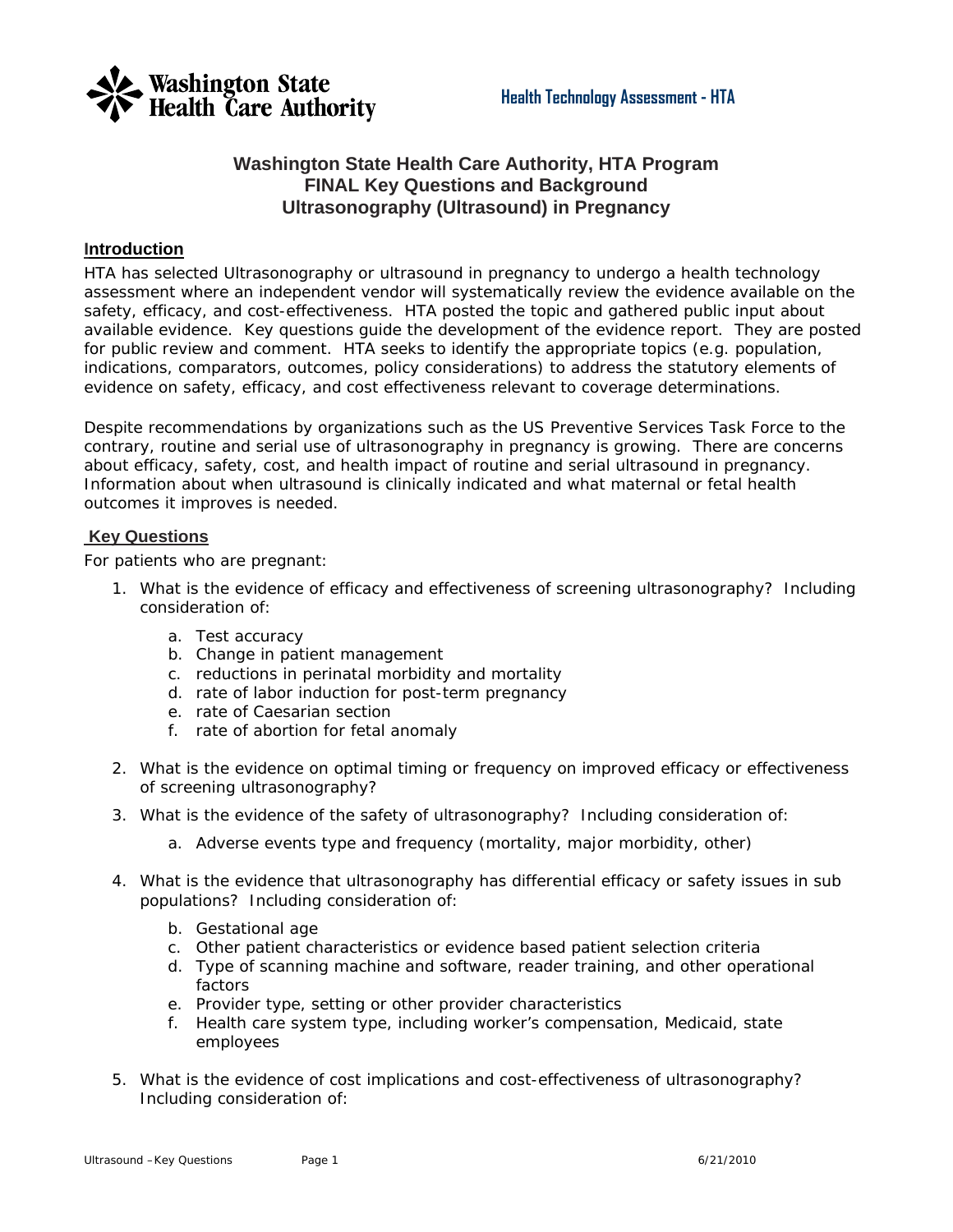

#### **Washington State Health Care Authority, HTA Program FINAL Key Questions and Background Ultrasonography (Ultrasound) in Pregnancy**

#### **Introduction**

HTA has selected Ultrasonography or ultrasound in pregnancy to undergo a health technology assessment where an independent vendor will systematically review the evidence available on the safety, efficacy, and cost-effectiveness. HTA posted the topic and gathered public input about available evidence. Key questions guide the development of the evidence report. They are posted for public review and comment. HTA seeks to identify the appropriate topics (e.g. population, indications, comparators, outcomes, policy considerations) to address the statutory elements of evidence on safety, efficacy, and cost effectiveness relevant to coverage determinations.

Despite recommendations by organizations such as the US Preventive Services Task Force to the contrary, routine and serial use of ultrasonography in pregnancy is growing. There are concerns about efficacy, safety, cost, and health impact of routine and serial ultrasound in pregnancy. Information about when ultrasound is clinically indicated and what maternal or fetal health outcomes it improves is needed.

#### **Key Questions**

For patients who are pregnant:

- 1. What is the evidence of efficacy and effectiveness of screening ultrasonography? Including consideration of:
	- a. Test accuracy
	- b. Change in patient management
	- c. reductions in perinatal morbidity and mortality
	- d. rate of labor induction for post-term pregnancy
	- e. rate of Caesarian section
	- f. rate of abortion for fetal anomaly
- 2. What is the evidence on optimal timing or frequency on improved efficacy or effectiveness of screening ultrasonography?
- 3. What is the evidence of the safety of ultrasonography? Including consideration of:
	- a. Adverse events type and frequency (mortality, major morbidity, other)
- 4. What is the evidence that ultrasonography has differential efficacy or safety issues in sub populations? Including consideration of:
	- b. Gestational age
	- c. Other patient characteristics or evidence based patient selection criteria
	- d. Type of scanning machine and software, reader training, and other operational factors
	- e. Provider type, setting or other provider characteristics
	- f. Health care system type, including worker's compensation, Medicaid, state employees
- 5. What is the evidence of cost implications and cost-effectiveness of ultrasonography? Including consideration of: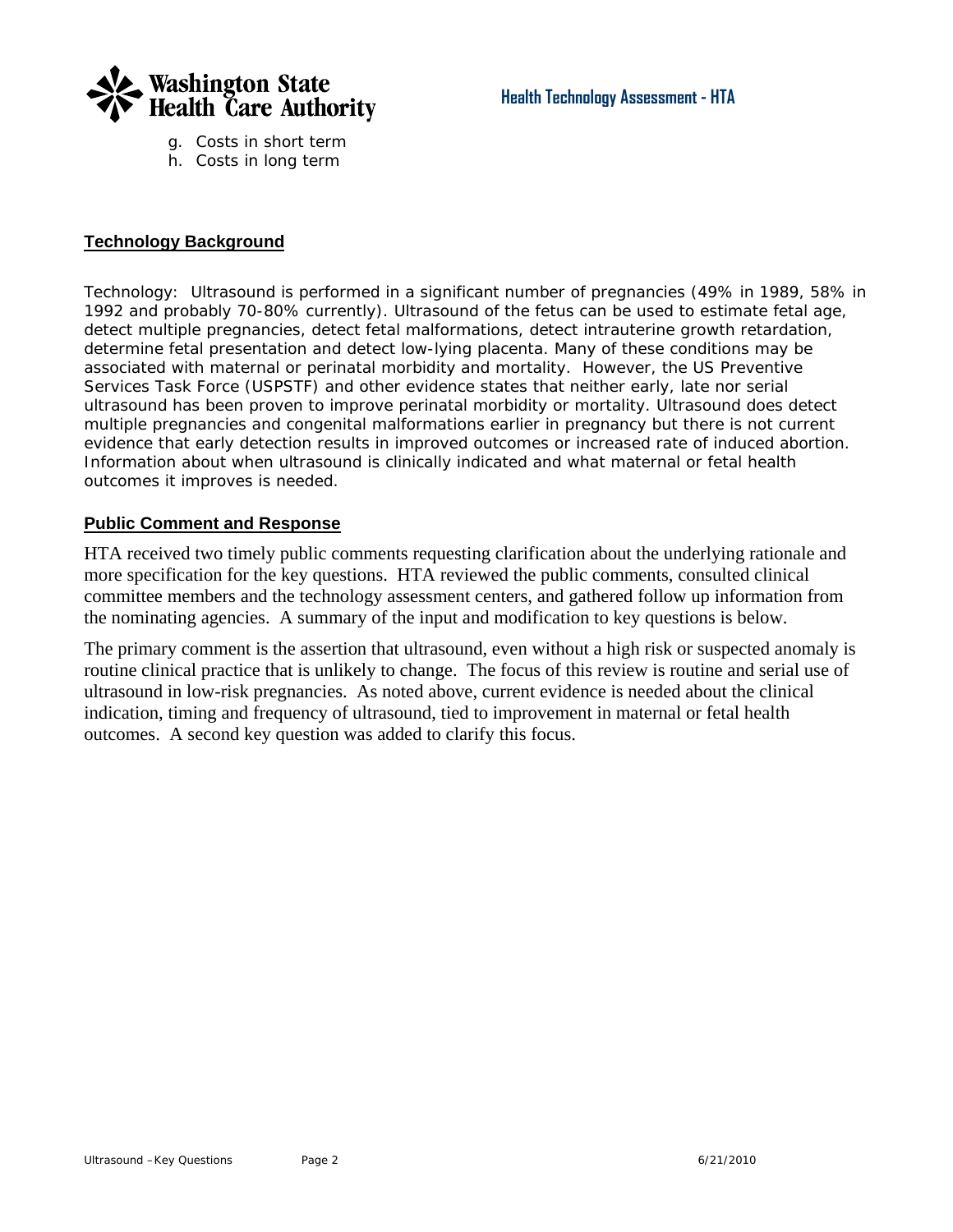

- g. Costs in short term
- h. Costs in long term

#### **Technology Background**

*Technology*: Ultrasound is performed in a significant number of pregnancies (49% in 1989, 58% in 1992 and probably 70-80% currently). Ultrasound of the fetus can be used to estimate fetal age, detect multiple pregnancies, detect fetal malformations, detect intrauterine growth retardation, determine fetal presentation and detect low-lying placenta. Many of these conditions may be associated with maternal or perinatal morbidity and mortality. However, the US Preventive Services Task Force (USPSTF) and other evidence states that neither early, late nor serial ultrasound has been proven to improve perinatal morbidity or mortality. Ultrasound does detect multiple pregnancies and congenital malformations earlier in pregnancy but there is not current evidence that early detection results in improved outcomes or increased rate of induced abortion. Information about when ultrasound is clinically indicated and what maternal or fetal health outcomes it improves is needed.

#### **Public Comment and Response**

HTA received two timely public comments requesting clarification about the underlying rationale and more specification for the key questions. HTA reviewed the public comments, consulted clinical committee members and the technology assessment centers, and gathered follow up information from the nominating agencies. A summary of the input and modification to key questions is below.

The primary comment is the assertion that ultrasound, even without a high risk or suspected anomaly is routine clinical practice that is unlikely to change. The focus of this review is routine and serial use of ultrasound in low-risk pregnancies. As noted above, current evidence is needed about the clinical indication, timing and frequency of ultrasound, tied to improvement in maternal or fetal health outcomes. A second key question was added to clarify this focus.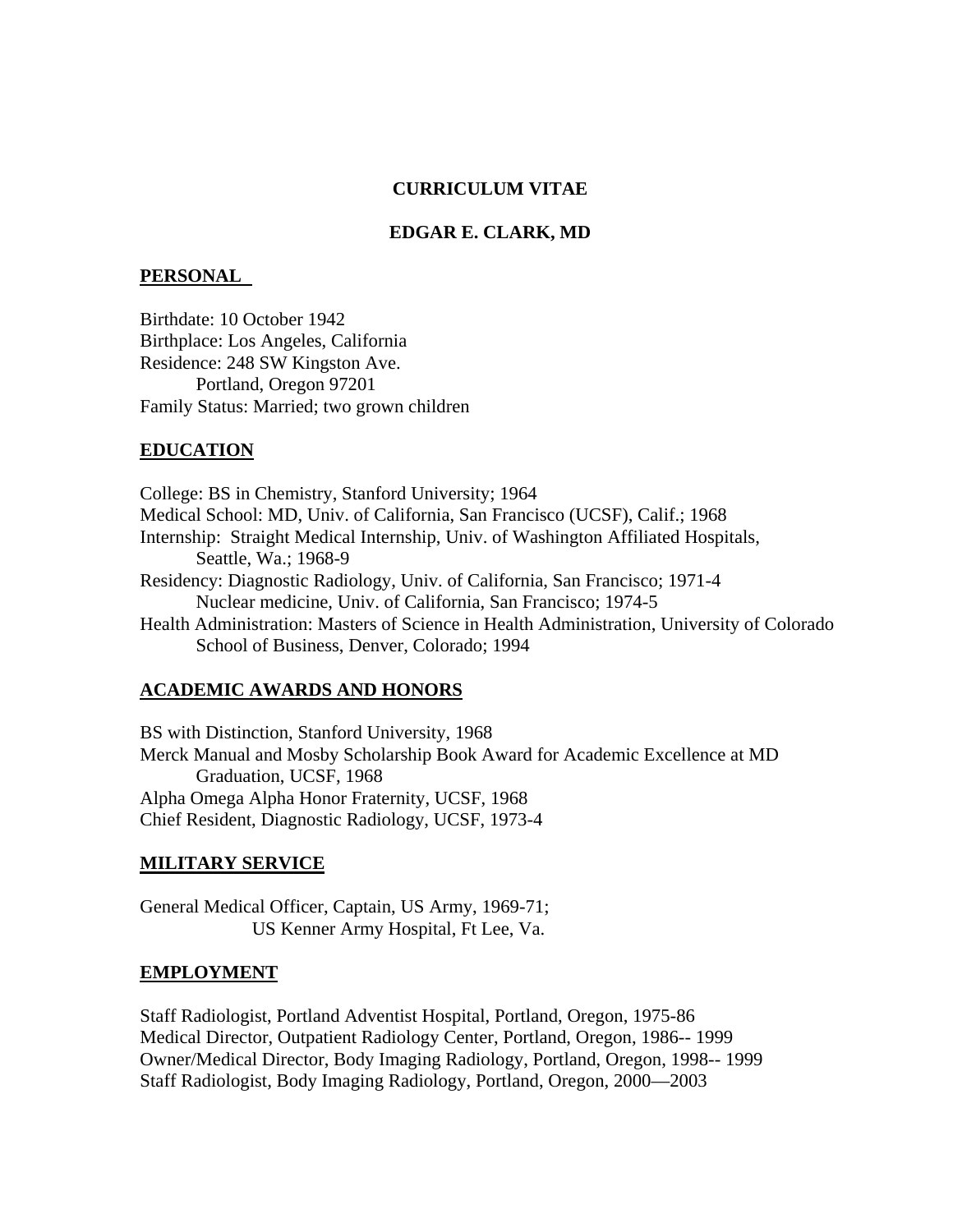#### **CURRICULUM VITAE**

#### **EDGAR E. CLARK, MD**

#### **PERSONAL**

Birthdate: 10 October 1942 Birthplace: Los Angeles, California Residence: 248 SW Kingston Ave. Portland, Oregon 97201 Family Status: Married; two grown children

#### **EDUCATION**

College: BS in Chemistry, Stanford University; 1964 Medical School: MD, Univ. of California, San Francisco (UCSF), Calif.; 1968 Internship: Straight Medical Internship, Univ. of Washington Affiliated Hospitals, Seattle, Wa.; 1968-9 Residency: Diagnostic Radiology, Univ. of California, San Francisco; 1971-4 Nuclear medicine, Univ. of California, San Francisco; 1974-5 Health Administration: Masters of Science in Health Administration, University of Colorado School of Business, Denver, Colorado; 1994

#### **ACADEMIC AWARDS AND HONORS**

BS with Distinction, Stanford University, 1968 Merck Manual and Mosby Scholarship Book Award for Academic Excellence at MD Graduation, UCSF, 1968 Alpha Omega Alpha Honor Fraternity, UCSF, 1968 Chief Resident, Diagnostic Radiology, UCSF, 1973-4

#### **MILITARY SERVICE**

General Medical Officer, Captain, US Army, 1969-71; US Kenner Army Hospital, Ft Lee, Va.

#### **EMPLOYMENT**

Staff Radiologist, Portland Adventist Hospital, Portland, Oregon, 1975-86 Medical Director, Outpatient Radiology Center, Portland, Oregon, 1986-- 1999 Owner/Medical Director, Body Imaging Radiology, Portland, Oregon, 1998-- 1999 Staff Radiologist, Body Imaging Radiology, Portland, Oregon, 2000—2003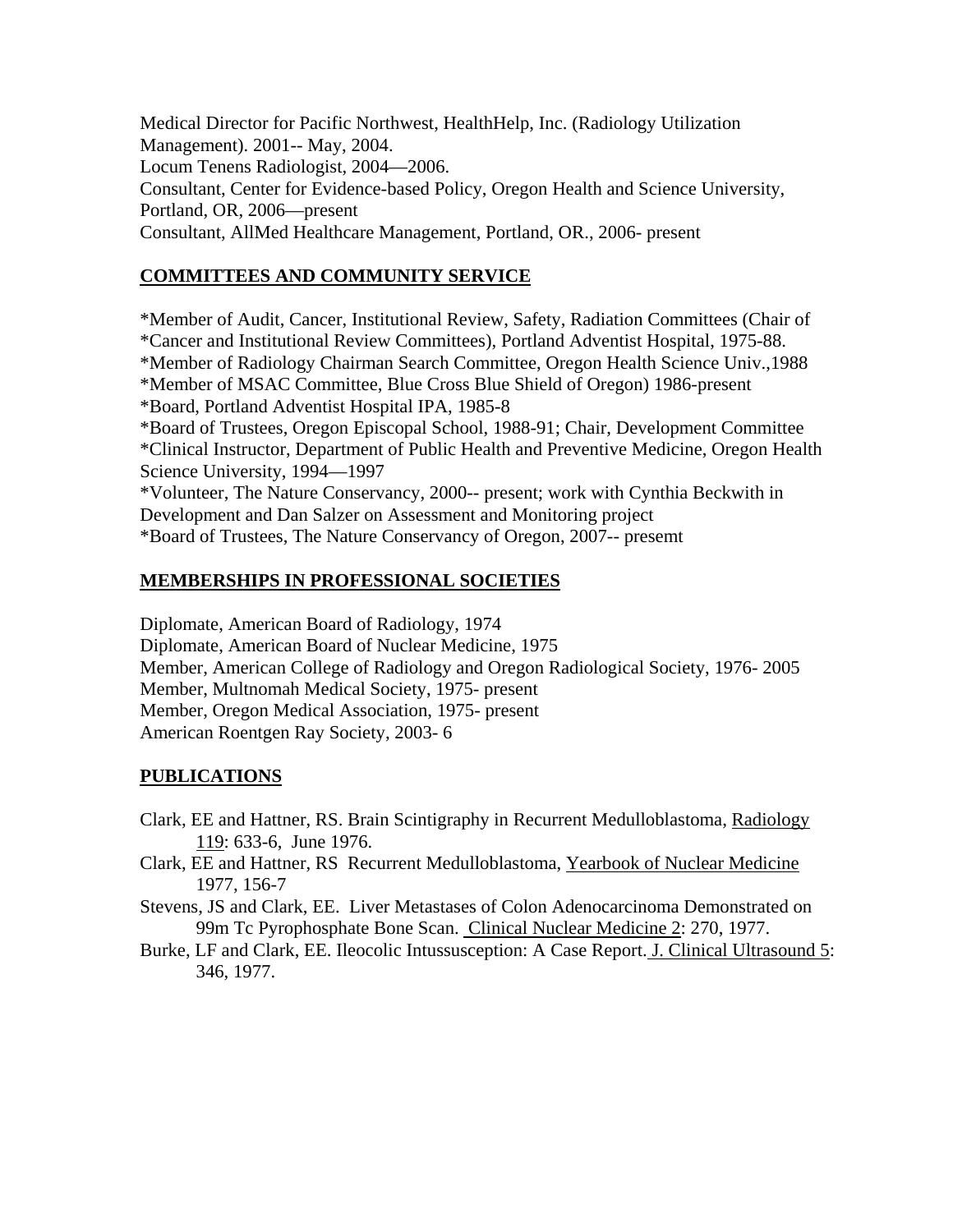Medical Director for Pacific Northwest, HealthHelp, Inc. (Radiology Utilization Management). 2001-- May, 2004. Locum Tenens Radiologist, 2004—2006. Consultant, Center for Evidence-based Policy, Oregon Health and Science University, Portland, OR, 2006—present Consultant, AllMed Healthcare Management, Portland, OR., 2006- present

#### **COMMITTEES AND COMMUNITY SERVICE**

\*Member of Audit, Cancer, Institutional Review, Safety, Radiation Committees (Chair of \*Cancer and Institutional Review Committees), Portland Adventist Hospital, 1975-88. \*Member of Radiology Chairman Search Committee, Oregon Health Science Univ.,1988 \*Member of MSAC Committee, Blue Cross Blue Shield of Oregon) 1986-present \*Board, Portland Adventist Hospital IPA, 1985-8 \*Board of Trustees, Oregon Episcopal School, 1988-91; Chair, Development Committee \*Clinical Instructor, Department of Public Health and Preventive Medicine, Oregon Health Science University, 1994—1997 \*Volunteer, The Nature Conservancy, 2000-- present; work with Cynthia Beckwith in Development and Dan Salzer on Assessment and Monitoring project \*Board of Trustees, The Nature Conservancy of Oregon, 2007-- presemt

#### **MEMBERSHIPS IN PROFESSIONAL SOCIETIES**

Diplomate, American Board of Radiology, 1974 Diplomate, American Board of Nuclear Medicine, 1975 Member, American College of Radiology and Oregon Radiological Society, 1976- 2005 Member, Multnomah Medical Society, 1975- present Member, Oregon Medical Association, 1975- present American Roentgen Ray Society, 2003- 6

#### **PUBLICATIONS**

- Clark, EE and Hattner, RS. Brain Scintigraphy in Recurrent Medulloblastoma, Radiology 119: 633-6, June 1976.
- Clark, EE and Hattner, RS Recurrent Medulloblastoma, Yearbook of Nuclear Medicine 1977, 156-7
- Stevens, JS and Clark, EE. Liver Metastases of Colon Adenocarcinoma Demonstrated on 99m Tc Pyrophosphate Bone Scan. Clinical Nuclear Medicine 2: 270, 1977.
- Burke, LF and Clark, EE. Ileocolic Intussusception: A Case Report. J. Clinical Ultrasound 5: 346, 1977.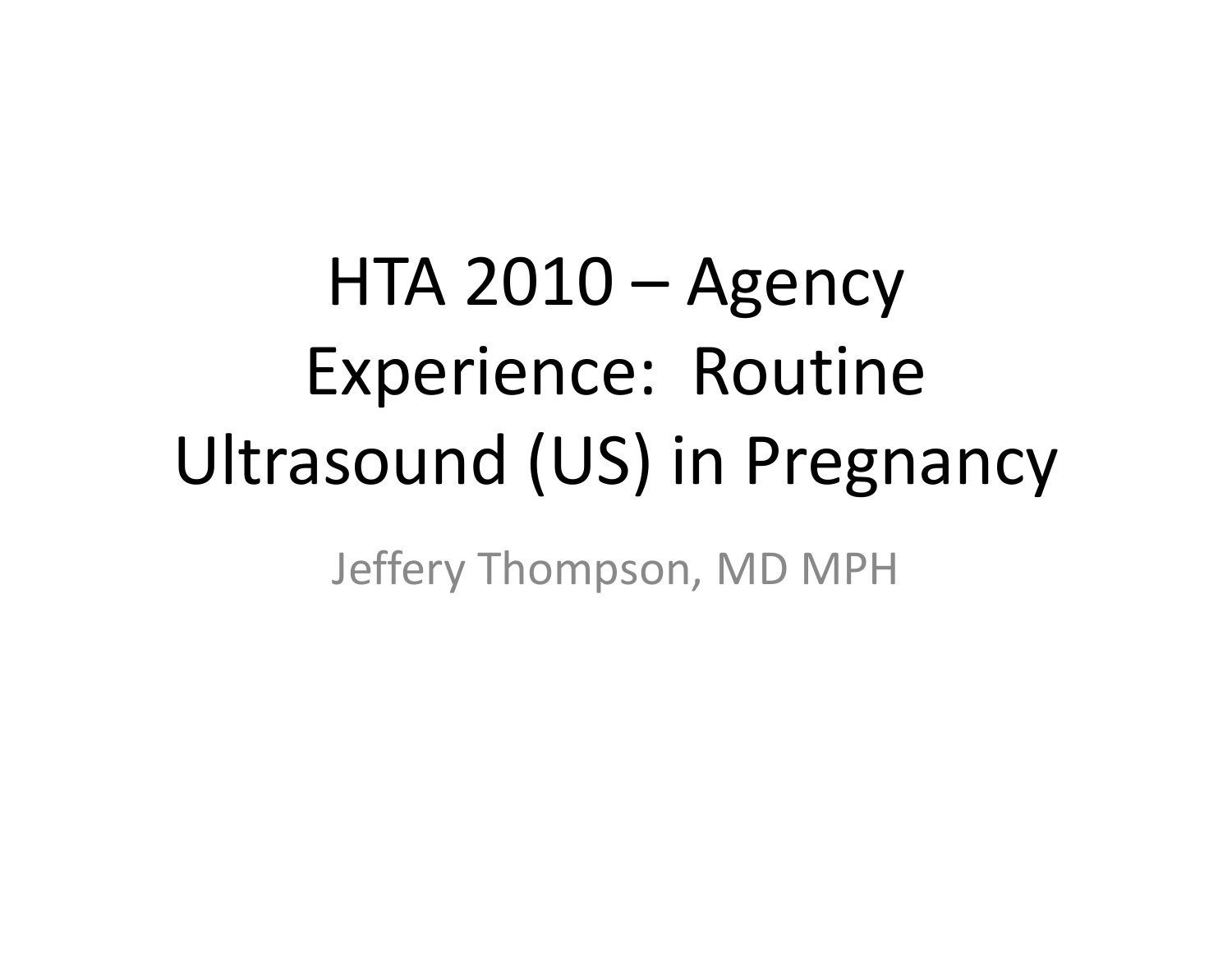HTA 2010 – Agency Experience: Routine Ultrasound (US) in Pregnancy

Jeffery Thompson, MD MPH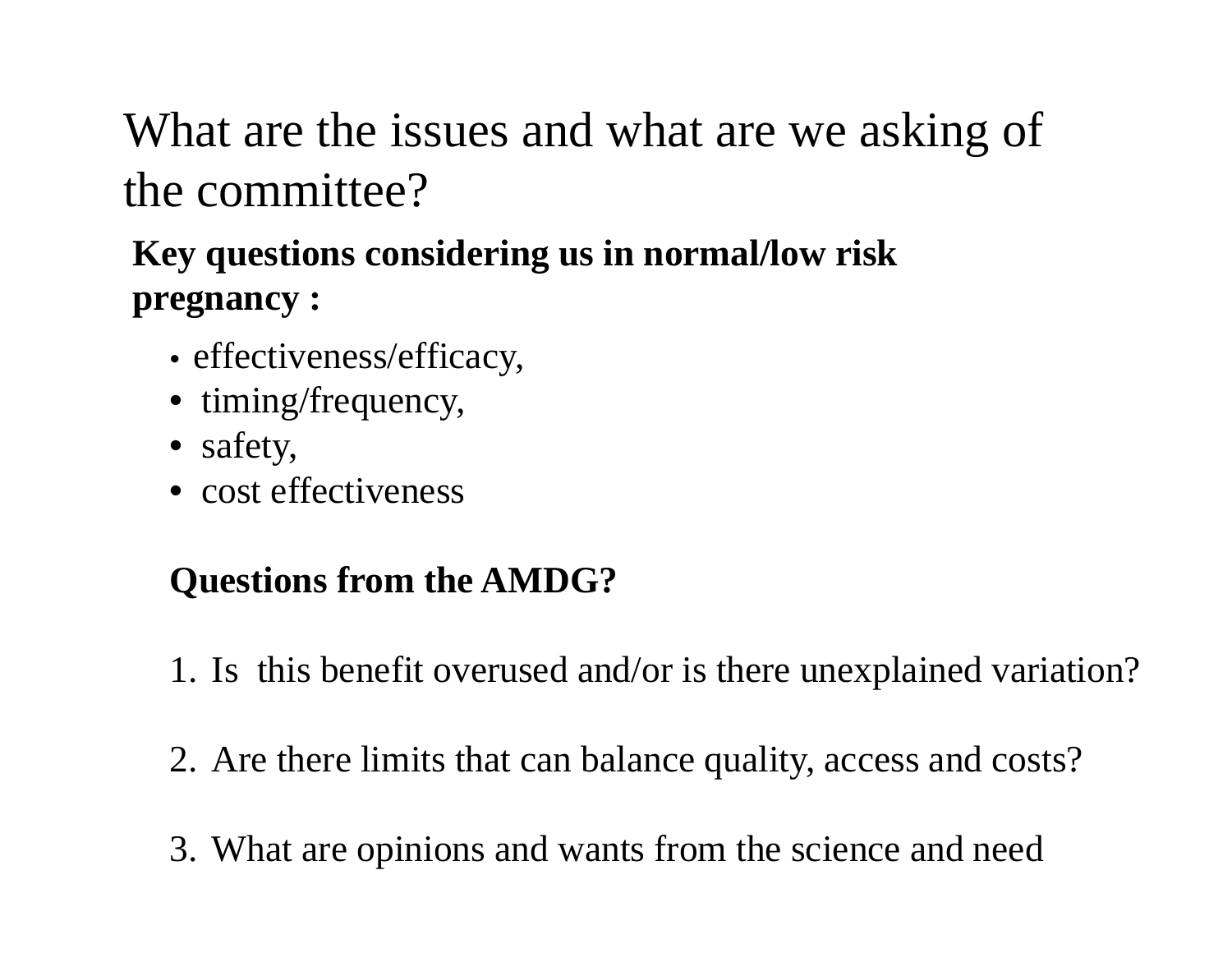What are the issues and what are we asking of the committee?

#### **Key questions considering us in normal/low risk pregnancy :**

- effectiveness/efficacy,
- timing/frequency,
- safety,
- cost effectiveness

#### **Questions from the AMDG?**

- 1. Is this benefit overused and/or is there unexplained variation?
- 2. Are there limits that can balance quality, access and costs?
- 3. What are opinions and wants from the science and need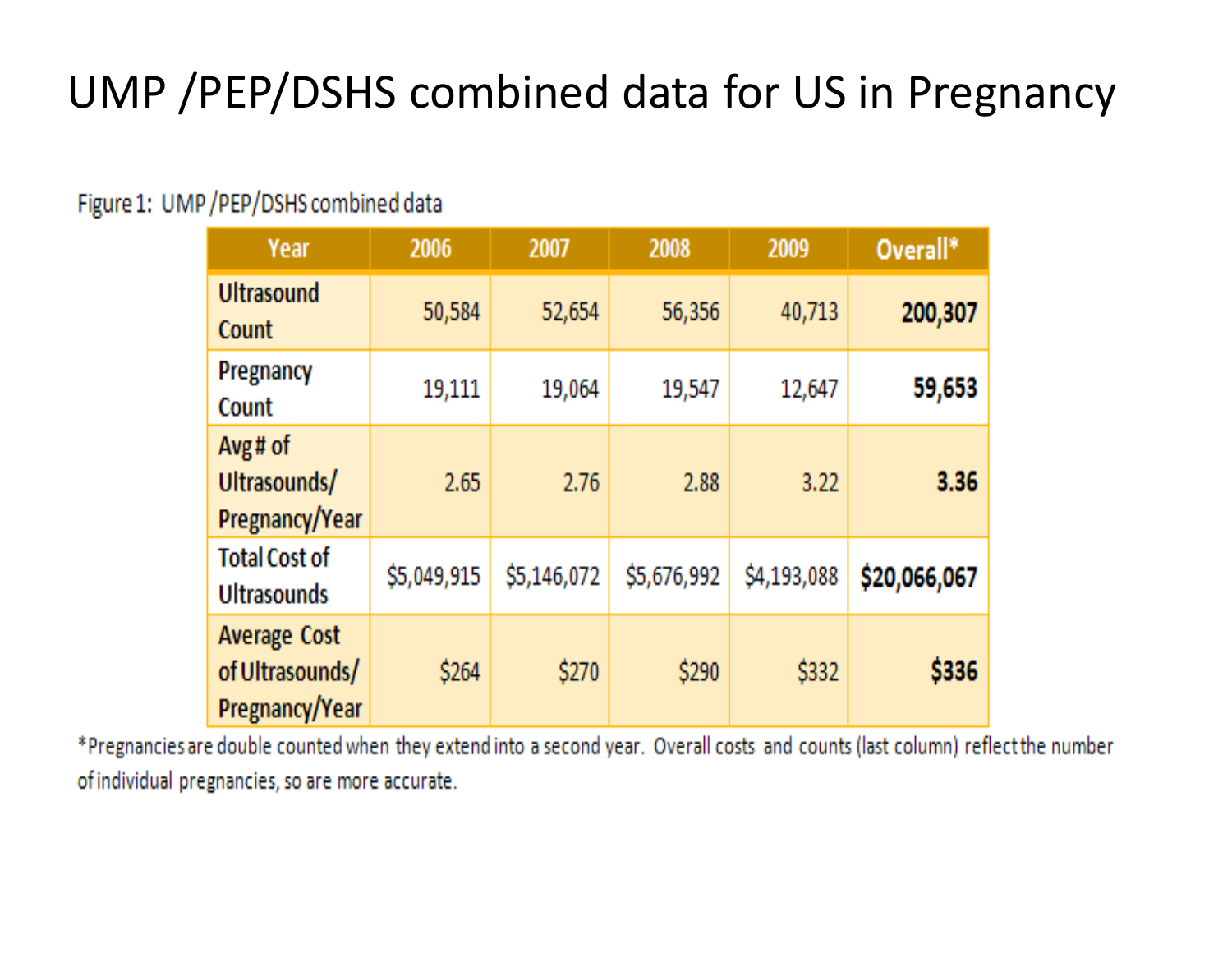#### UMP /PEP/DSHS combined data for US in Pregnancy

#### Figure 1: UMP / PEP/DSHS combined data

| Year                                                     | 2006        | 2007        | 2008        | 2009        | Overall*     |
|----------------------------------------------------------|-------------|-------------|-------------|-------------|--------------|
| <b>Ultrasound</b><br>Count                               | 50,584      | 52,654      | 56,356      | 40,713      | 200,307      |
| Pregnancy<br>Count                                       | 19,111      | 19,064      | 19,547      | 12,647      | 59,653       |
| Avg# of<br>Ultrasounds/<br>Pregnancy/Year                | 2.65        | 2.76        | 2.88        | 3.22        | 3.36         |
| <b>Total Cost of</b><br><b>Ultrasounds</b>               | \$5,049,915 | \$5,146,072 | \$5,676,992 | \$4,193,088 | \$20,066,067 |
| <b>Average Cost</b><br>of Ultrasounds/<br>Pregnancy/Year | \$264       | \$270       | \$290       | \$332       | \$336        |

\*Pregnancies are double counted when they extend into a second year. Overall costs and counts (last column) reflect the number of individual pregnancies, so are more accurate.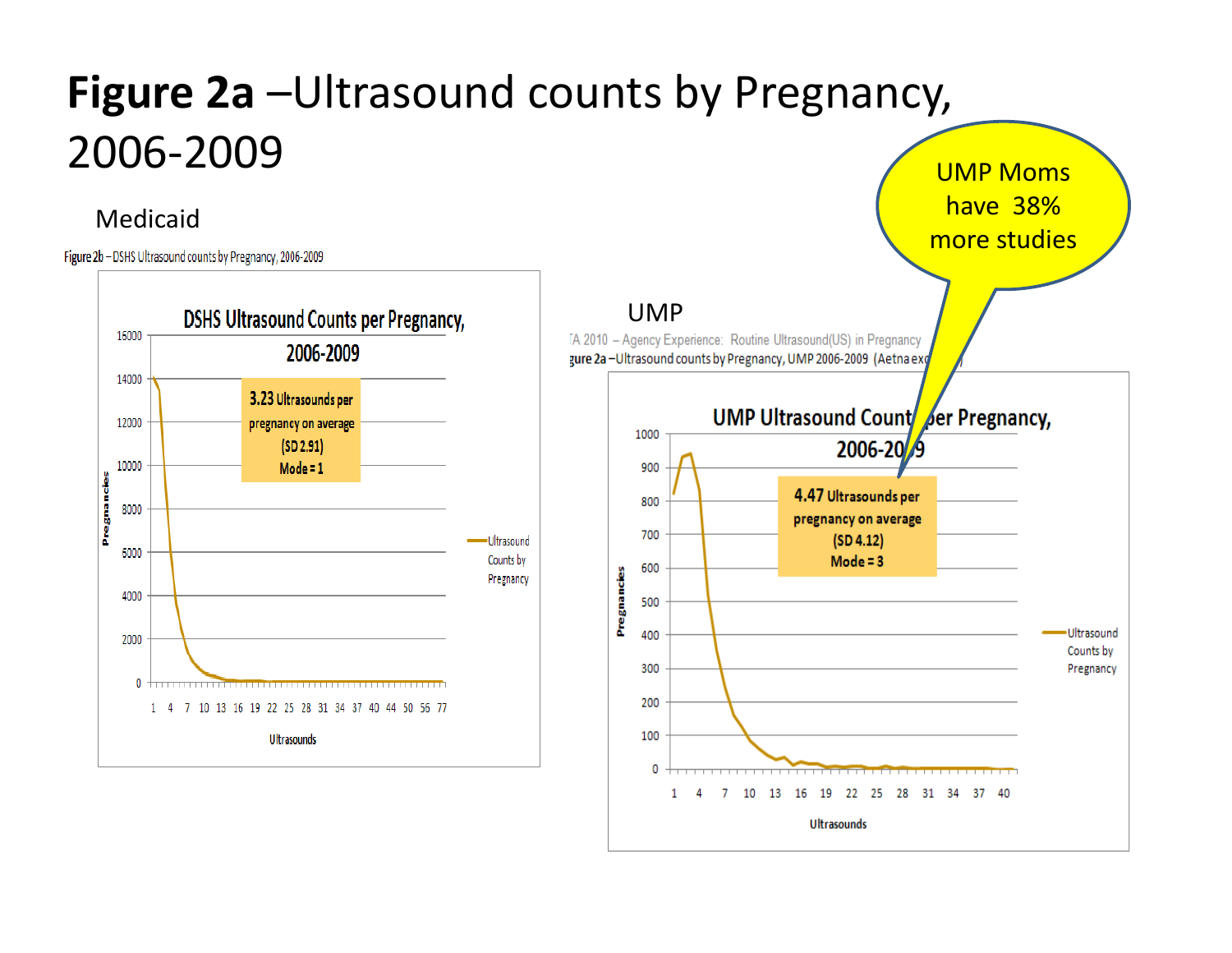#### **Figure 2a** –Ultrasound counts by Pregnancy, 2006‐2009<u>state of the contract of the contract of the contract of the contract of the contract of the contract of the contract of the contract of the contract of the contract of the contract of the contract of the contract of the </u>

#### Medicaid

Figure 2b - DSHS Ultrasound counts by Pregnancy, 2006-2009



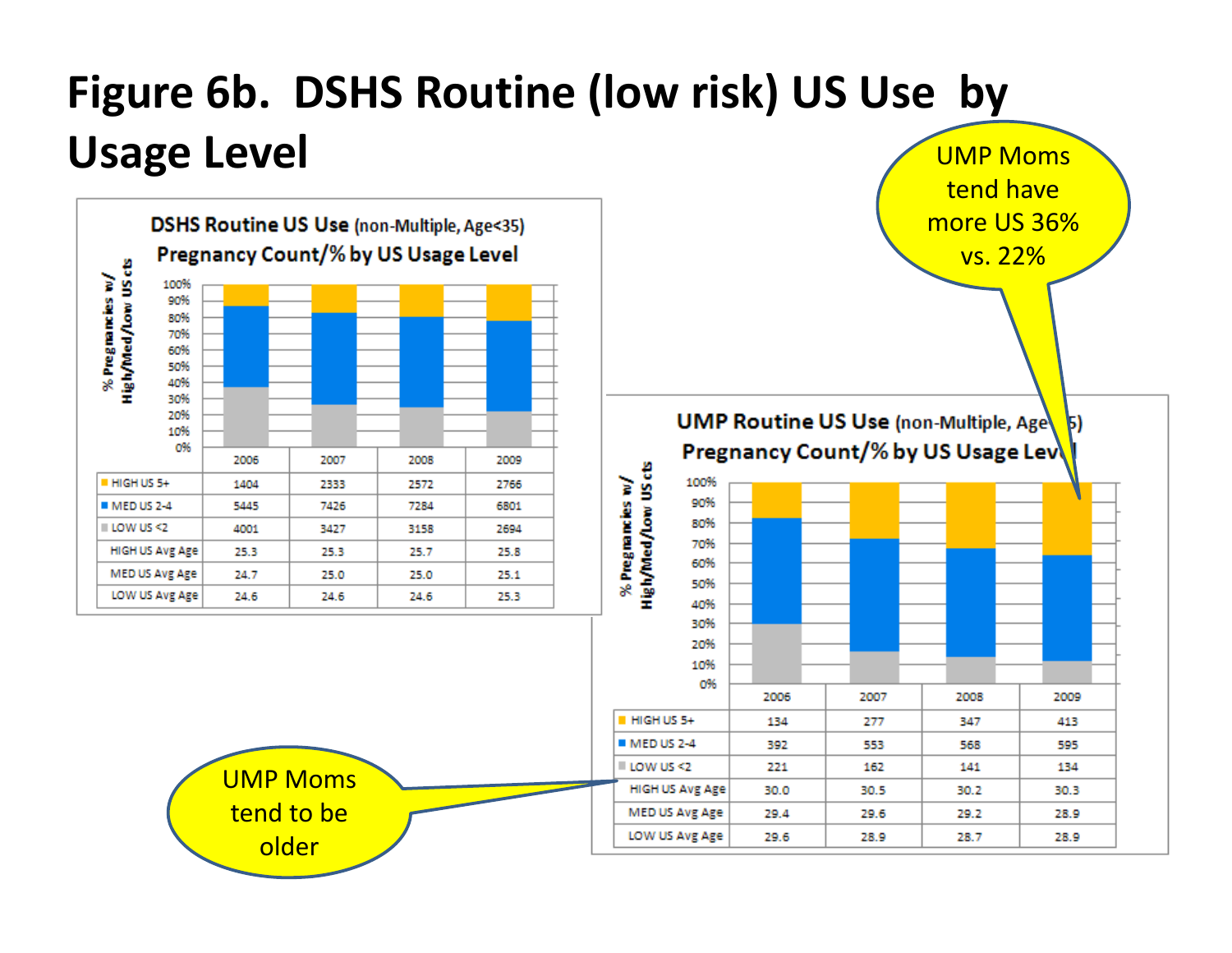#### **Figure 6b. DSHS Routine (low risk) US Use by Usage Level** UMP Moms

tend have

more US 36%

vs. 22%

2007

277

553

162

30.5

29.6

28.9

29.4

29.6

MED US Avg Age

LOW US Avg Age

2008

347

568

141

30.2

29.2

28.7

 $\mathbf{5}$ 

2009

413

595

134

30.3

28.9

28.9



tend to be older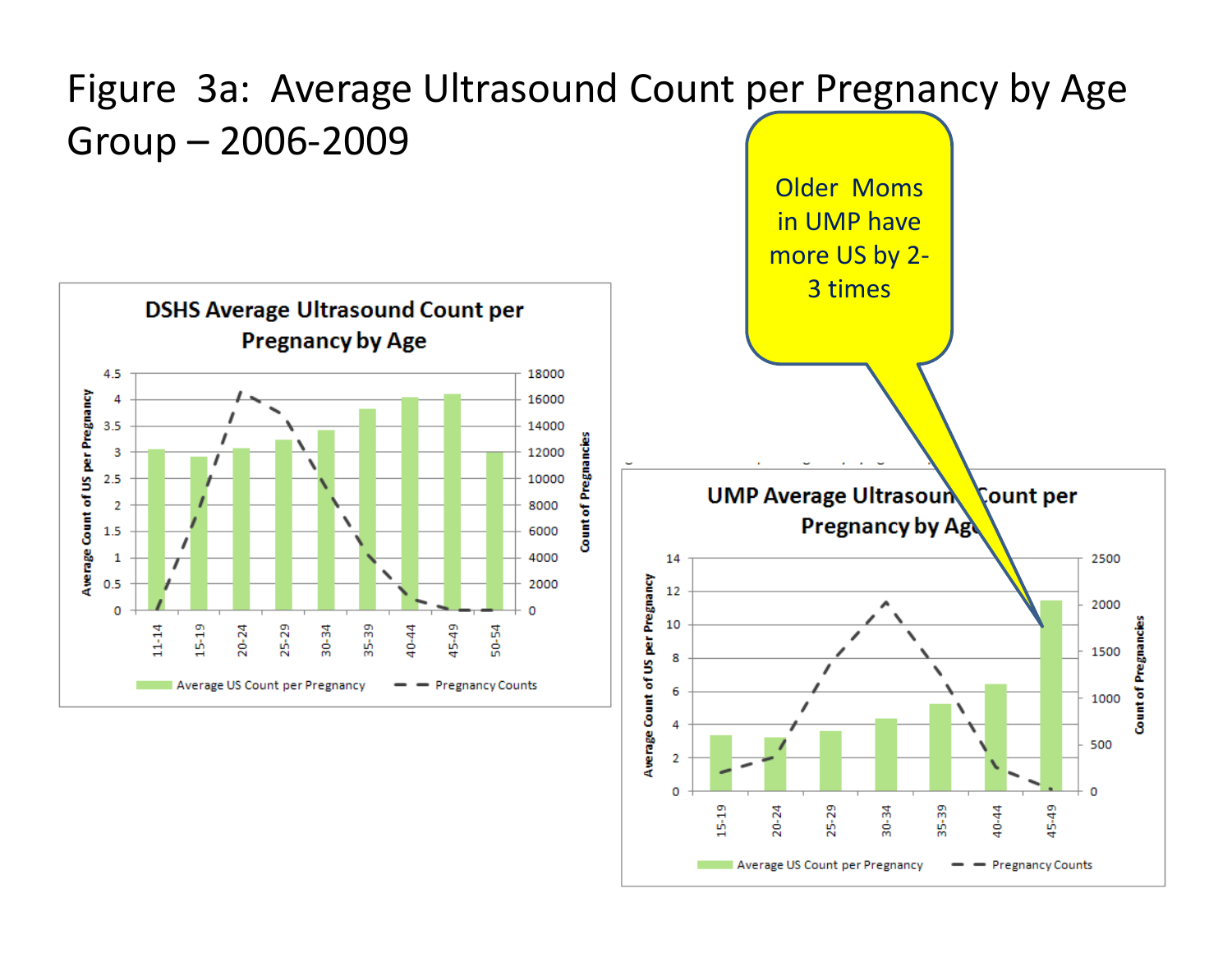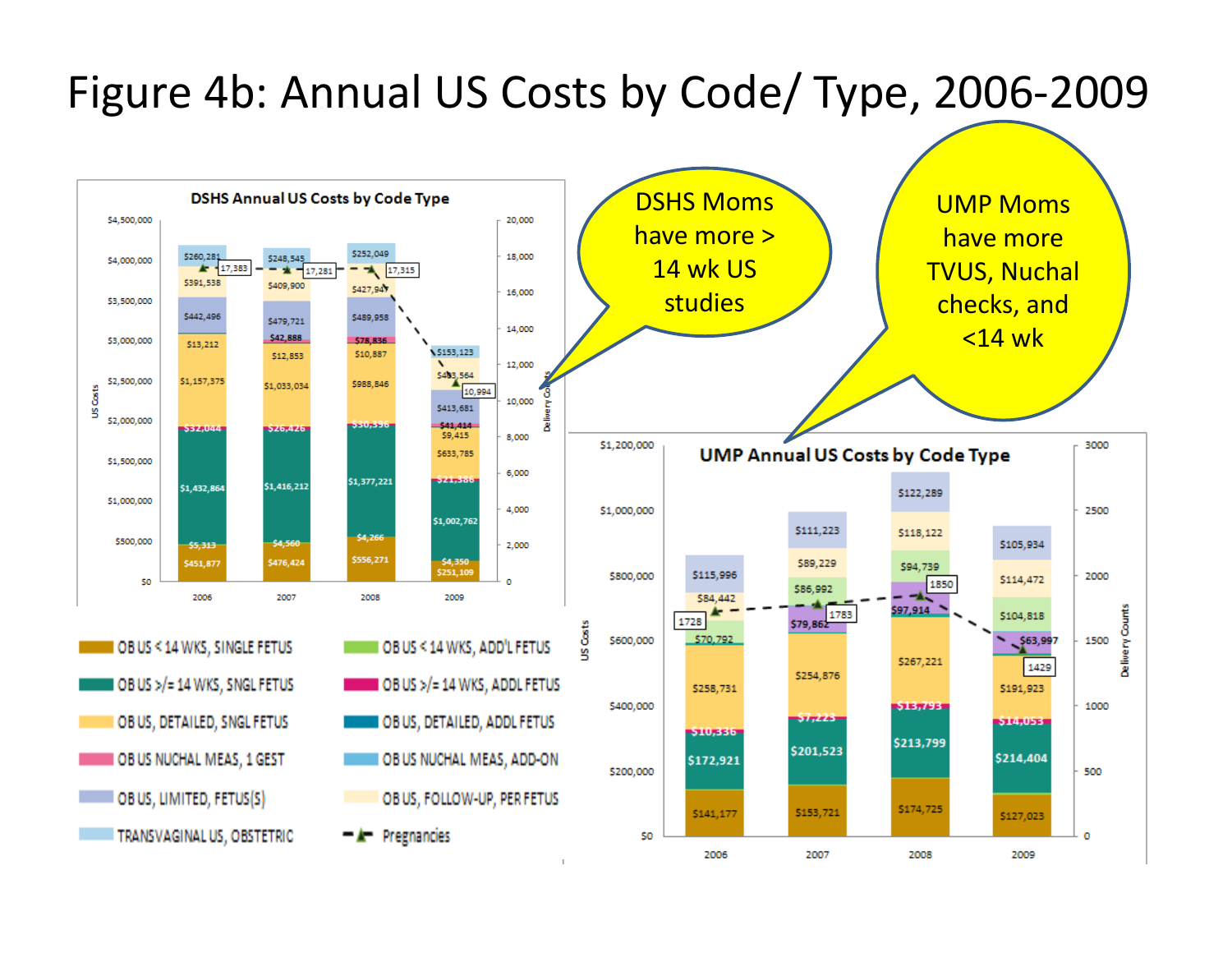#### Figure 4b: Annual US Costs by Code/ Type, 2006‐2009

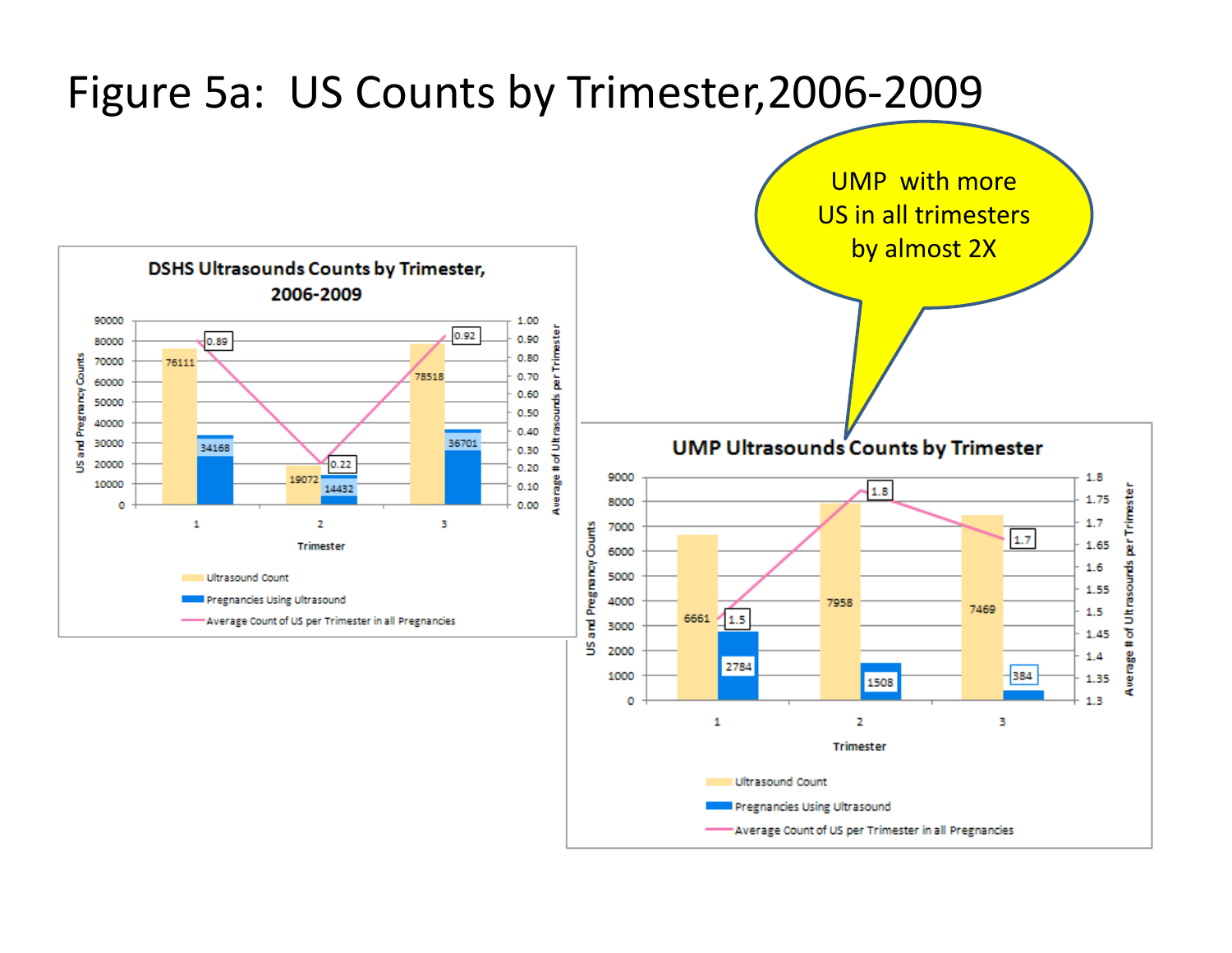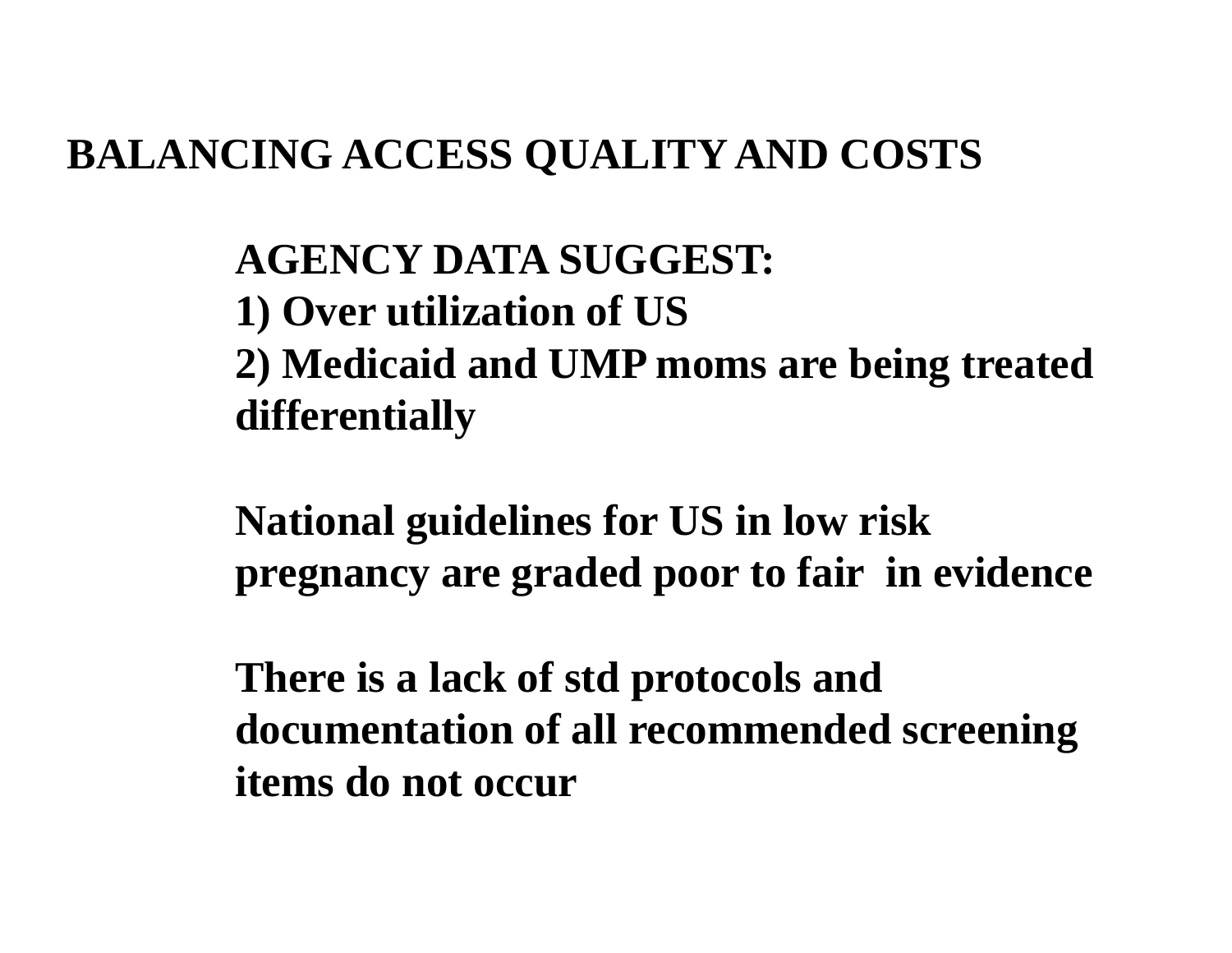#### **BALANCING ACCESS QUALITY AND COSTS**

#### **AGENCY DATA SUGGEST: 1) Over utilization of US 2) Medicaid and UMP moms are being treated differentially**

**National guidelines for US in low risk pregnancy are graded poor to fair in evidence**

**There is a lack of std protocols and documentation of all recommended screening items do not occur**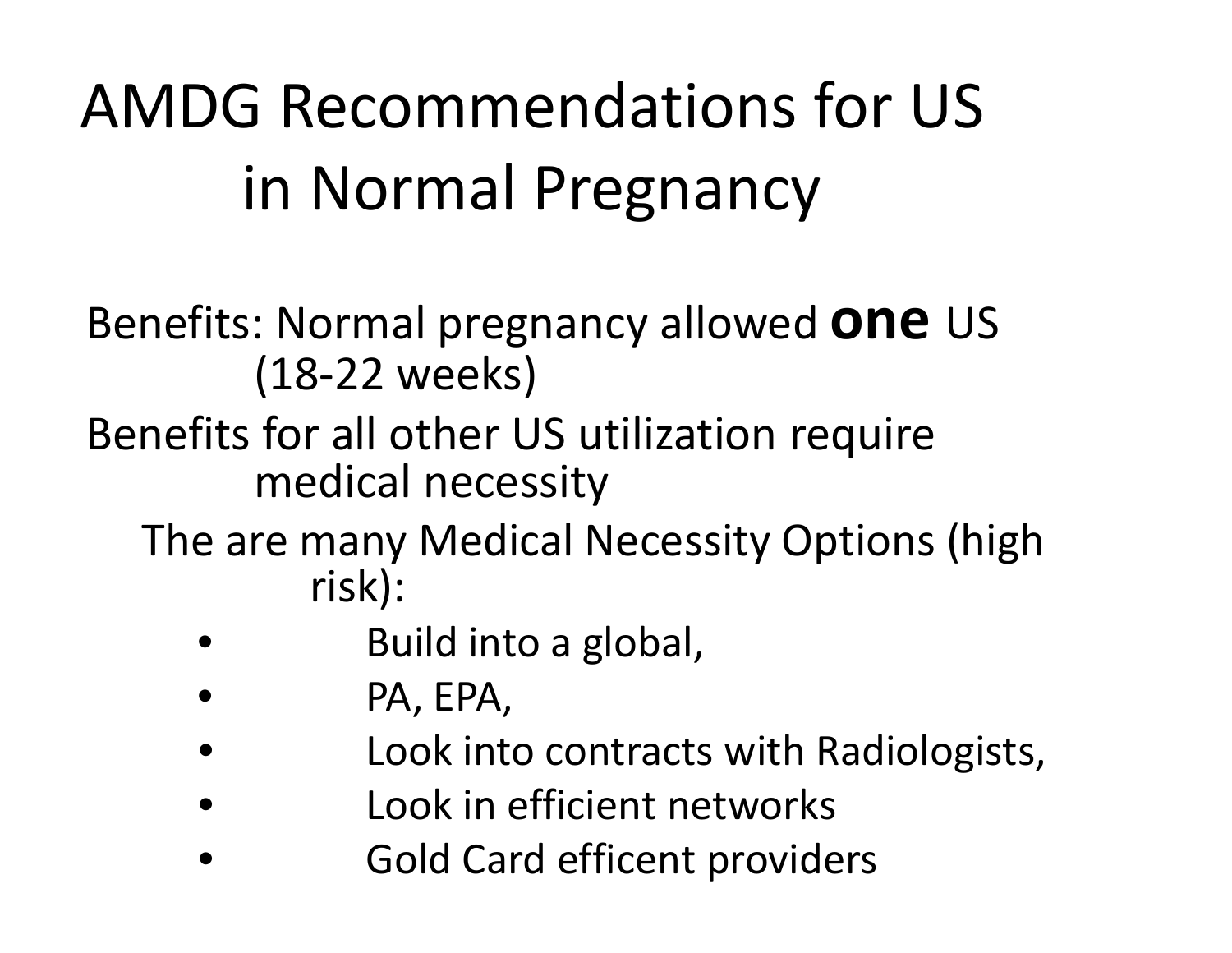### AMDG Recommendations for US in Normal Pregnancy

Benefits: Normal pregnancy allowed **one** US (18‐22 weeks)

- Benefits for all other US utilization require medical necessity
	- The are many Medical Necessity Options (high risk):
		- •**•** Build into a global,
		- •PA, EPA,
		- •Look into contracts with Radiologists,
		- •Look in efficient networks
		- •**• Cold Card efficent providers**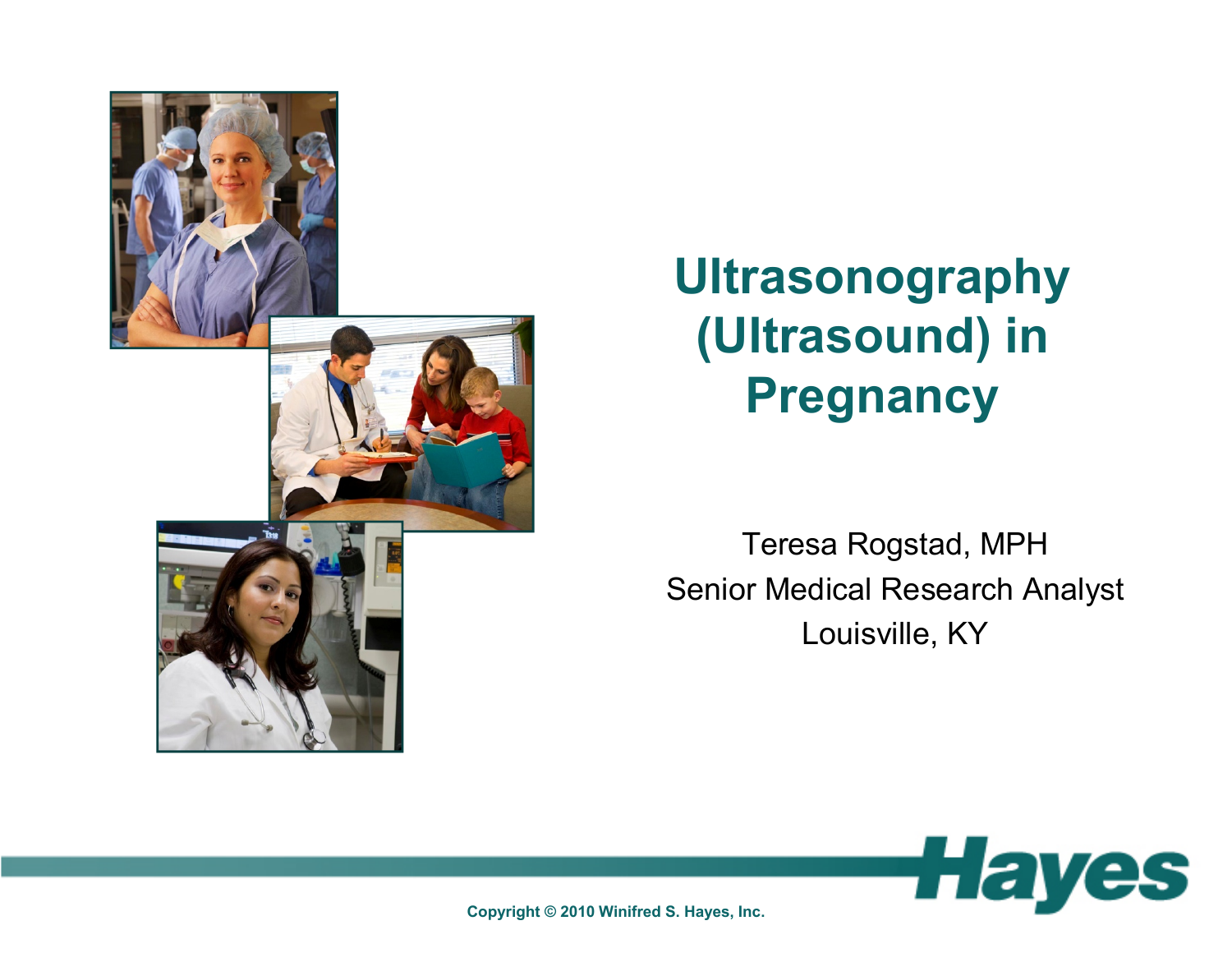

#### **Ultrasonography (Ultrasound) in Pregnancy**

Teresa Rogstad, MPH Senior Medical Research Analyst Louisville, KY



**Copyright © 2010 Winifred S. Hayes, Inc.**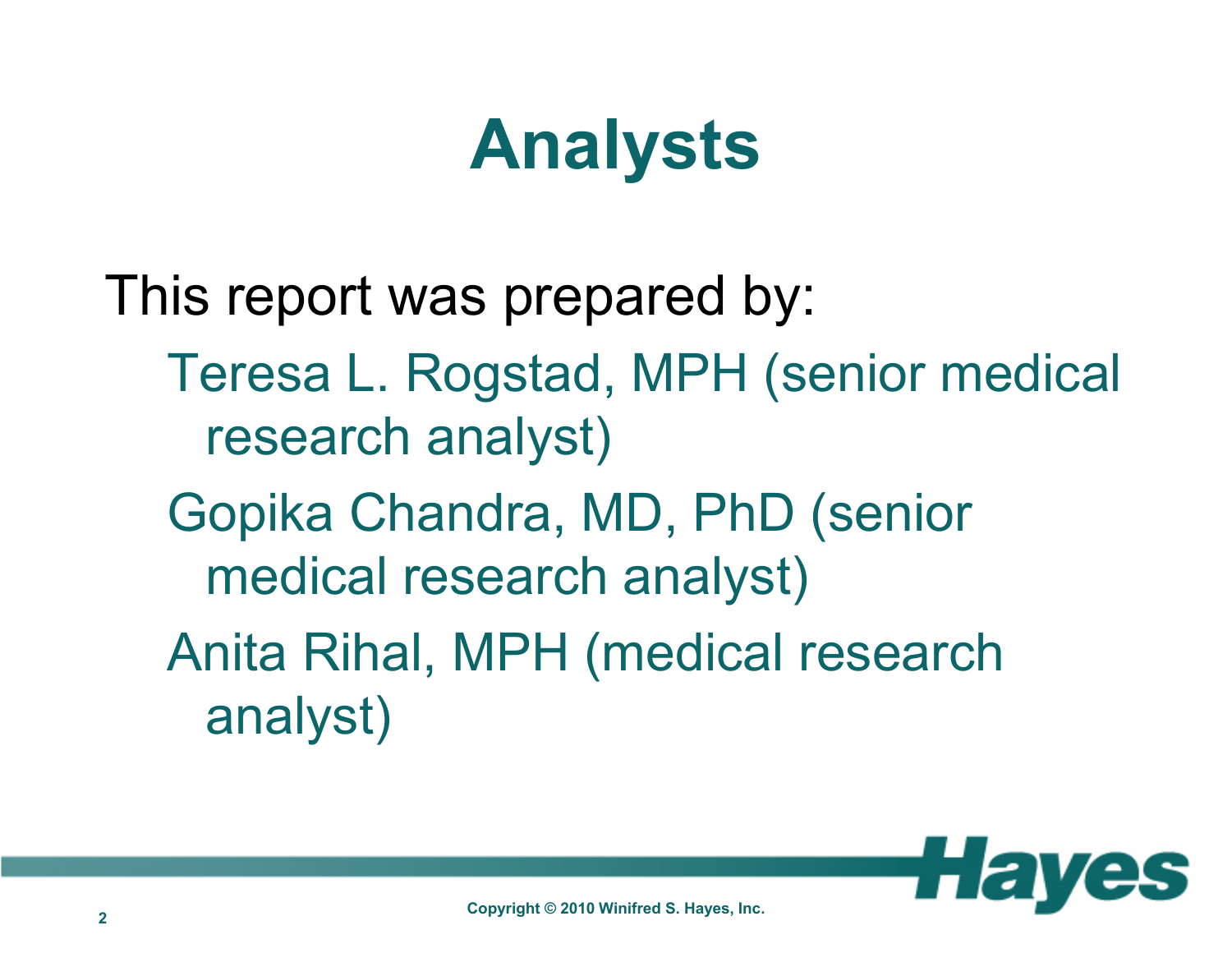#### **Analysts**

This report was prepared by: Teresa L. Rogstad, MPH (senior medical research analyst) Gopika Chandra, MD, PhD (senior medical research analyst) Anita Rihal, MPH (medical research analyst)

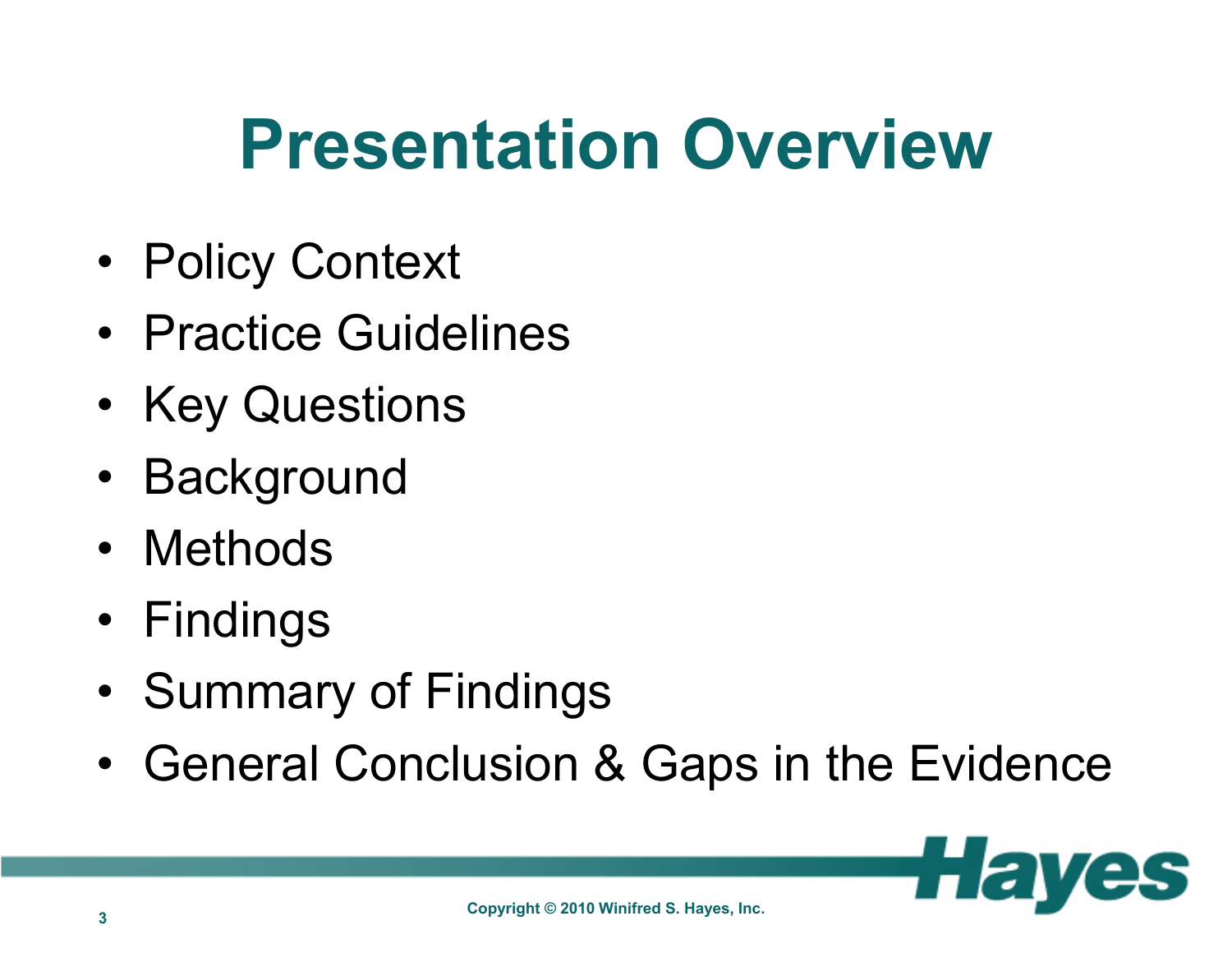### **Presentation Overview**

- •Policy Context
- Practice Guidelines
- •• Key Questions
- Background
- Methods
- Findings
- •• Summary of Findings
- •General Conclusion & Gaps in the Evidence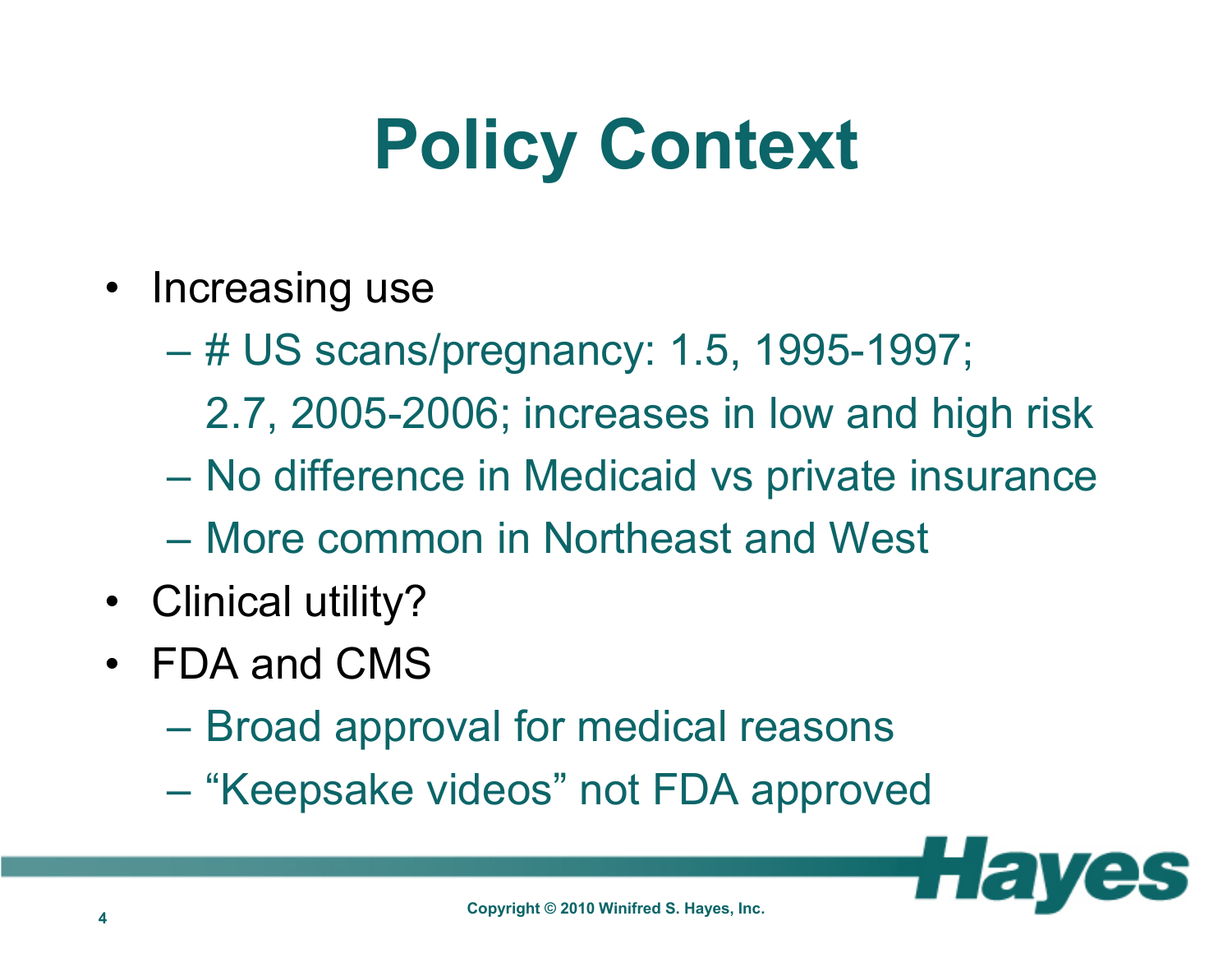### **Policy Context**

- Increasing use
	- $\mathcal{L}_{\mathcal{A}}$  , the state of the state of the state of the state of the state of the state of the state of the state of the state of the state of the state of the state of the state of the state of the state of the state # US scans/pregnancy: 1.5, 1995-1997;
		- 2.7, 2005-2006; increases in low and high risk
	- No difference in Medicaid vs private insurance
	- More common in Northeast and West
- Clinical utility?
- FDA and CMS
	- Broad approval for medical reasons
	- –– "Keepsake videos" not FDA approved

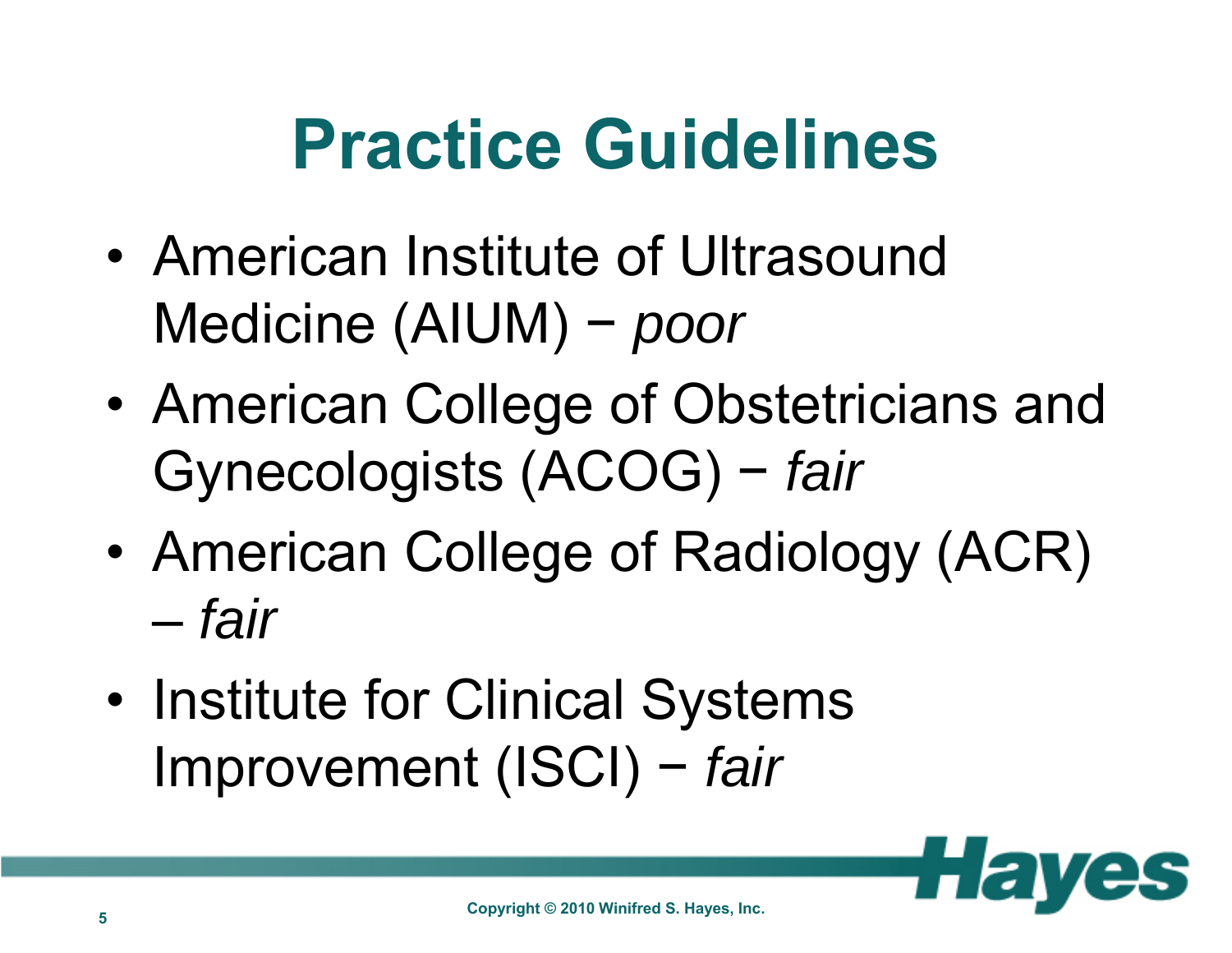### **Practice Guidelines**

- • American Institute of Ultrasound Medicine (AIUM) <sup>−</sup> *poor*
- • American College of Obstetricians and Gynecologists (ACOG) <sup>−</sup> *fair*
- • American College of Radiology (ACR) *fair*
- •• Institute for Clinical Systems Improvement (ISCI) <sup>−</sup> *fair*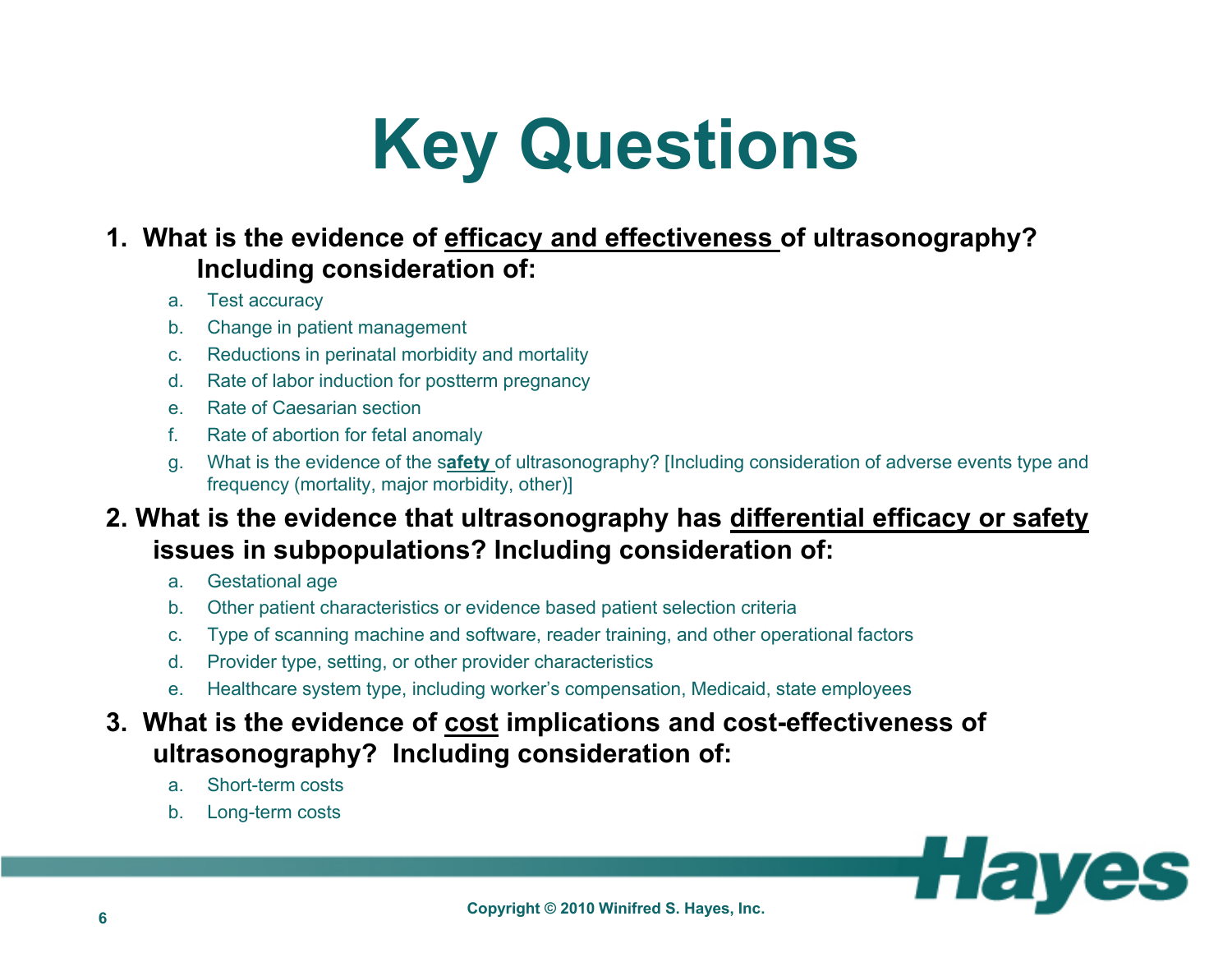### **Key Questions**

#### **1. What is the evidence of efficacy and effectiveness of ultrasonography? Including consideration of:**

- a. Test accuracy
- b. Change in patient management
- c.Reductions in perinatal morbidity and mortality
- d.Rate of labor induction for postterm pregnancy
- e. Rate of Caesarian section
- f.Rate of abortion for fetal anomaly
- g. What is the evidence of the s**afety** of ultrasonography? [Including consideration of adverse events type and frequency (mortality, major morbidity, other)]

#### **2. What is the evidence that ultrasonography has differential efficacy or safety issues in subpopulations? Including consideration of:**

- a.Gestational age
- b.Other patient characteristics or evidence based patient selection criteria
- c.Type of scanning machine and software, reader training, and other operational factors
- d.Provider type, setting, or other provider characteristics
- e.Healthcare system type, including worker's compensation, Medicaid, state employees

#### **3. What is the evidence of cost implications and cost-effectiveness of ultrasonography? Including consideration of:**

- a.Short-term costs
- b.Long-term costs

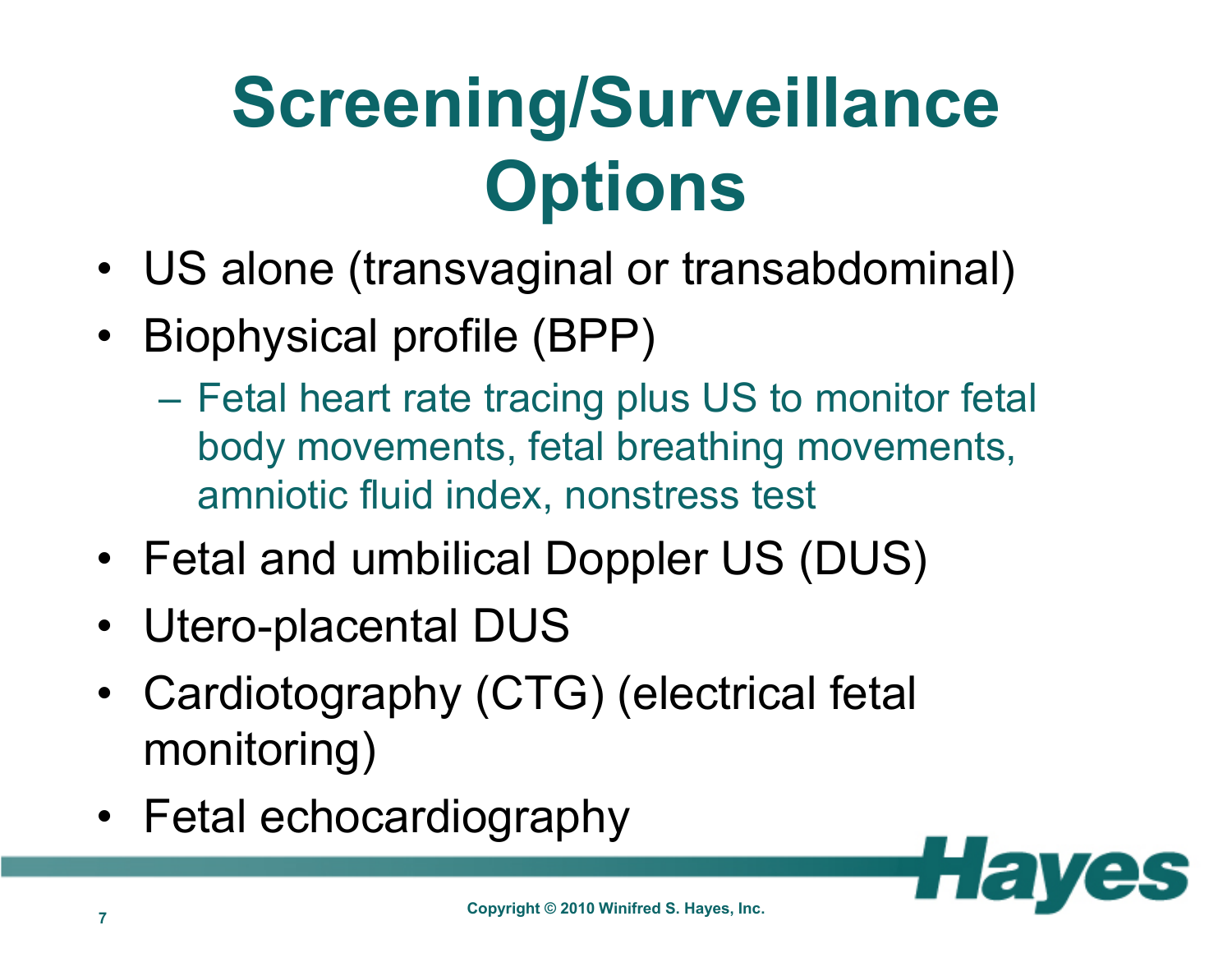## **Screening/Surveillance Options**

- US alone (transvaginal or transabdominal)
- Biophysical profile (BPP)
	- Fetal heart rate tracing plus US to monitor fetal body movements, fetal breathing movements, amniotic fluid index, nonstress test
- Fetal and umbilical Doppler US (DUS)
- Utero-placental DUS
- • Cardiotography (CTG) (electrical fetal monitoring)
- Fetal echocardiography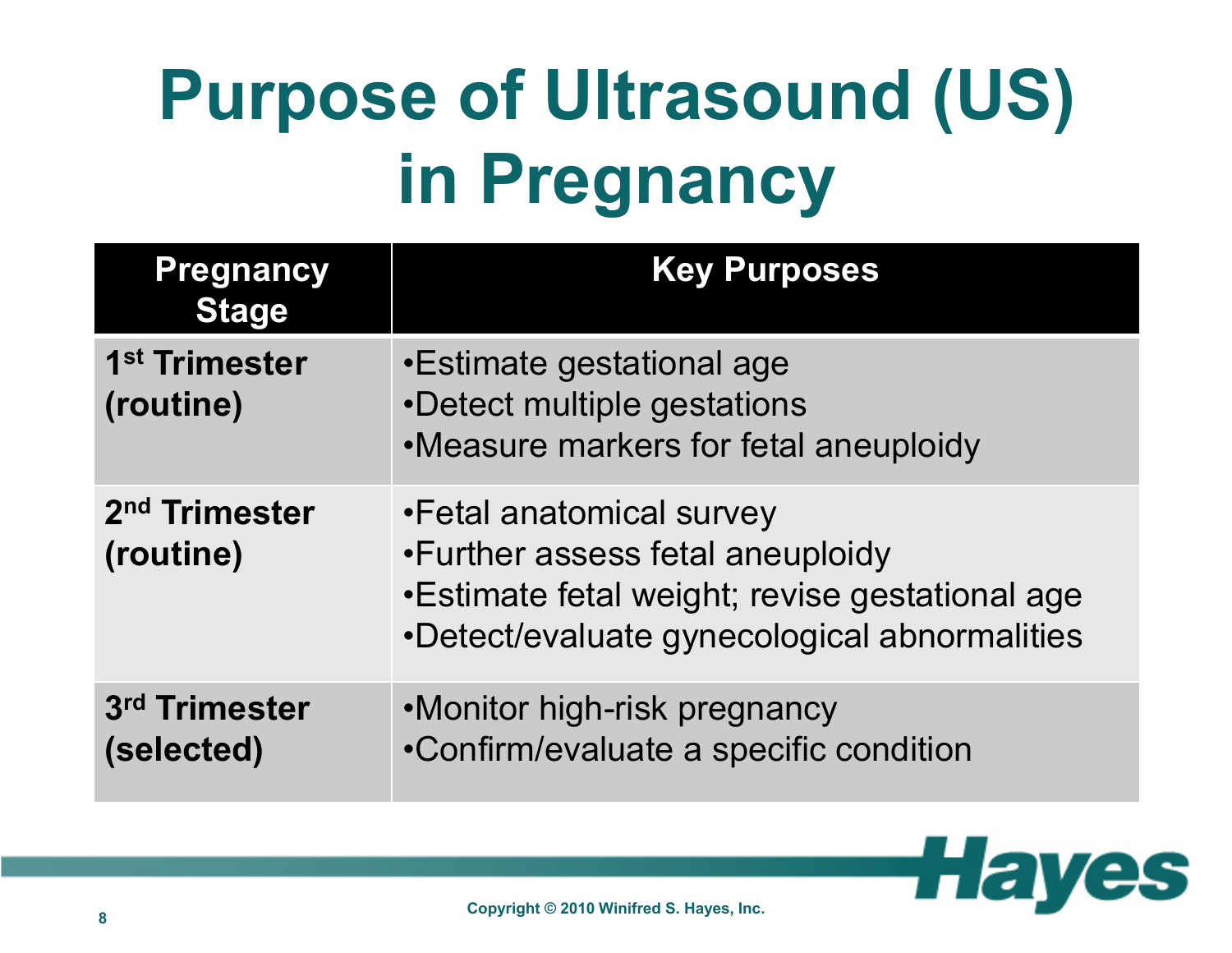# **Purpose of Ultrasound (US) in Pregnancy**

| <b>Pregnancy</b><br><b>Stage</b>       | <b>Key Purposes</b>                                                                                                                                             |
|----------------------------------------|-----------------------------------------------------------------------------------------------------------------------------------------------------------------|
| 1 <sup>st</sup> Trimester<br>(routine) | •Estimate gestational age<br>•Detect multiple gestations<br>•Measure markers for fetal aneuploidy                                                               |
| 2 <sup>nd</sup> Trimester<br>(routine) | •Fetal anatomical survey<br>•Further assess fetal aneuploidy<br>• Estimate fetal weight; revise gestational age<br>•Detect/evaluate gynecological abnormalities |
| 3rd Trimester<br>(selected)            | •Monitor high-risk pregnancy<br>•Confirm/evaluate a specific condition                                                                                          |

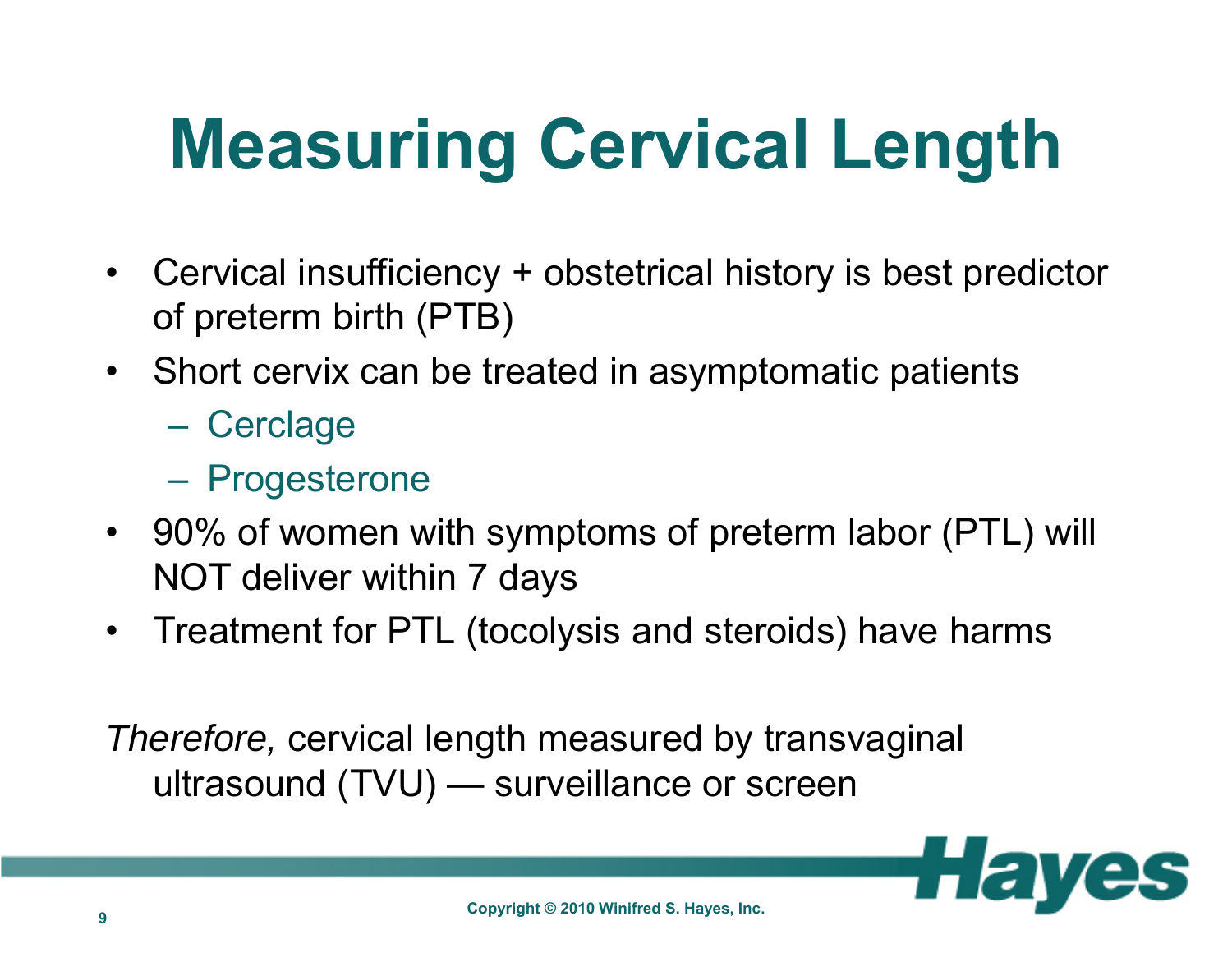# **Measuring Cervical Length**

- Cervical insufficiency + obstetrical history is best predictor of preterm birth (PTB)
- Short cervix can be treated in asymptomatic patients
	- Cerclage
	- Progesterone
- 90% of women with symptoms of preterm labor (PTL) will NOT deliver within 7 days
- •Treatment for PTL (tocolysis and steroids) have harms

*Therefore,* cervical length measured by transvaginal ultrasound (TVU) — surveillance or screen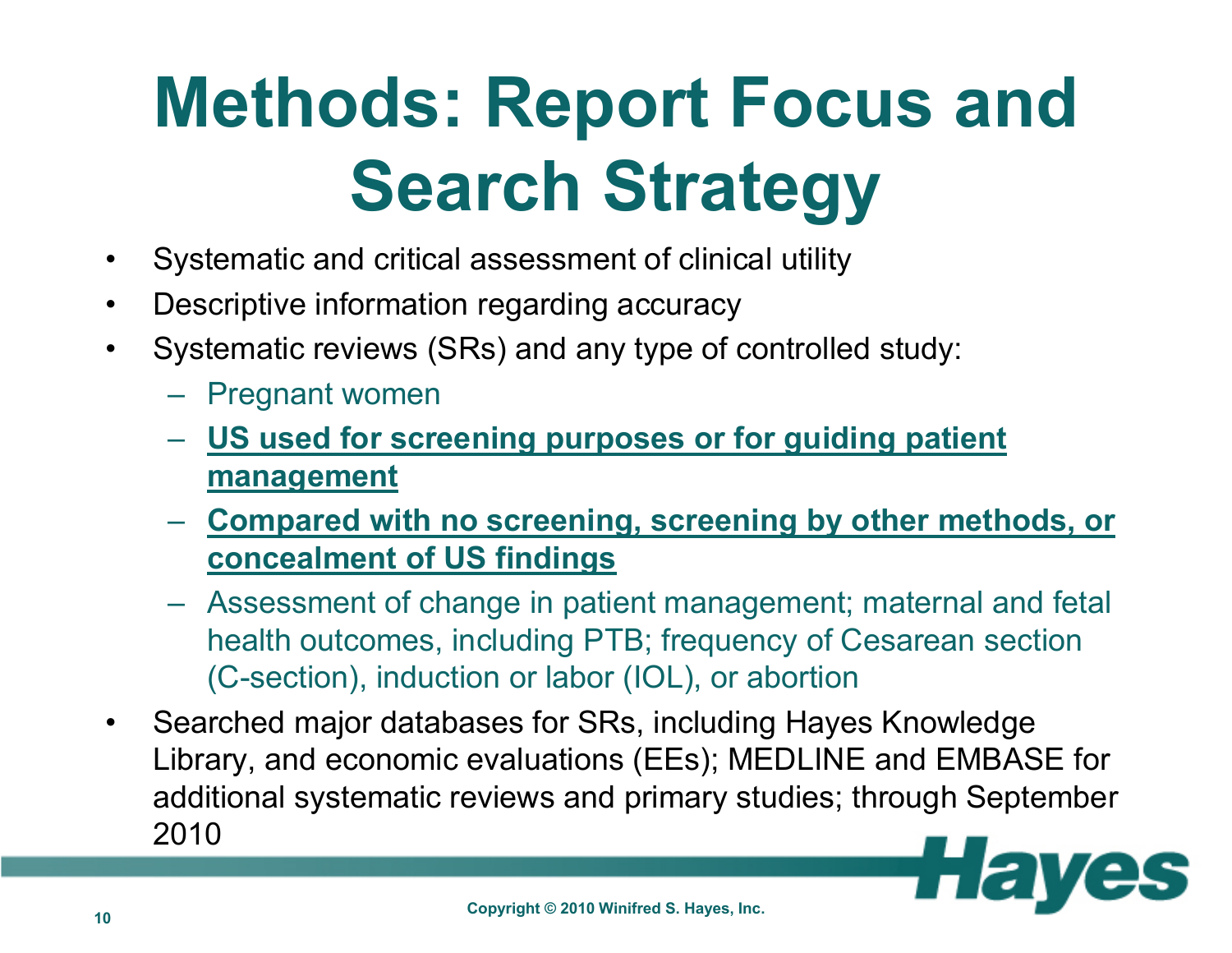# **Methods: Report Focus and Search Strategy**

- $\bullet$ Systematic and critical assessment of clinical utility
- $\bullet$ Descriptive information regarding accuracy
- $\bullet$  Systematic reviews (SRs) and any type of controlled study:
	- Pregnant women
	- **US used for screening purposes or for guiding patient management**
	- **Compared with no screening, screening by other methods, or concealment of US findings**
	- Assessment of change in patient management; maternal and fetal health outcomes, including PTB; frequency of Cesarean section (C-section), induction or labor (IOL), or abortion
- $\bullet$  Searched major databases for SRs, including Hayes Knowledge Library, and economic evaluations (EEs); MEDLINE and EMBASE for additional systematic reviews and primary studies; through September 2010

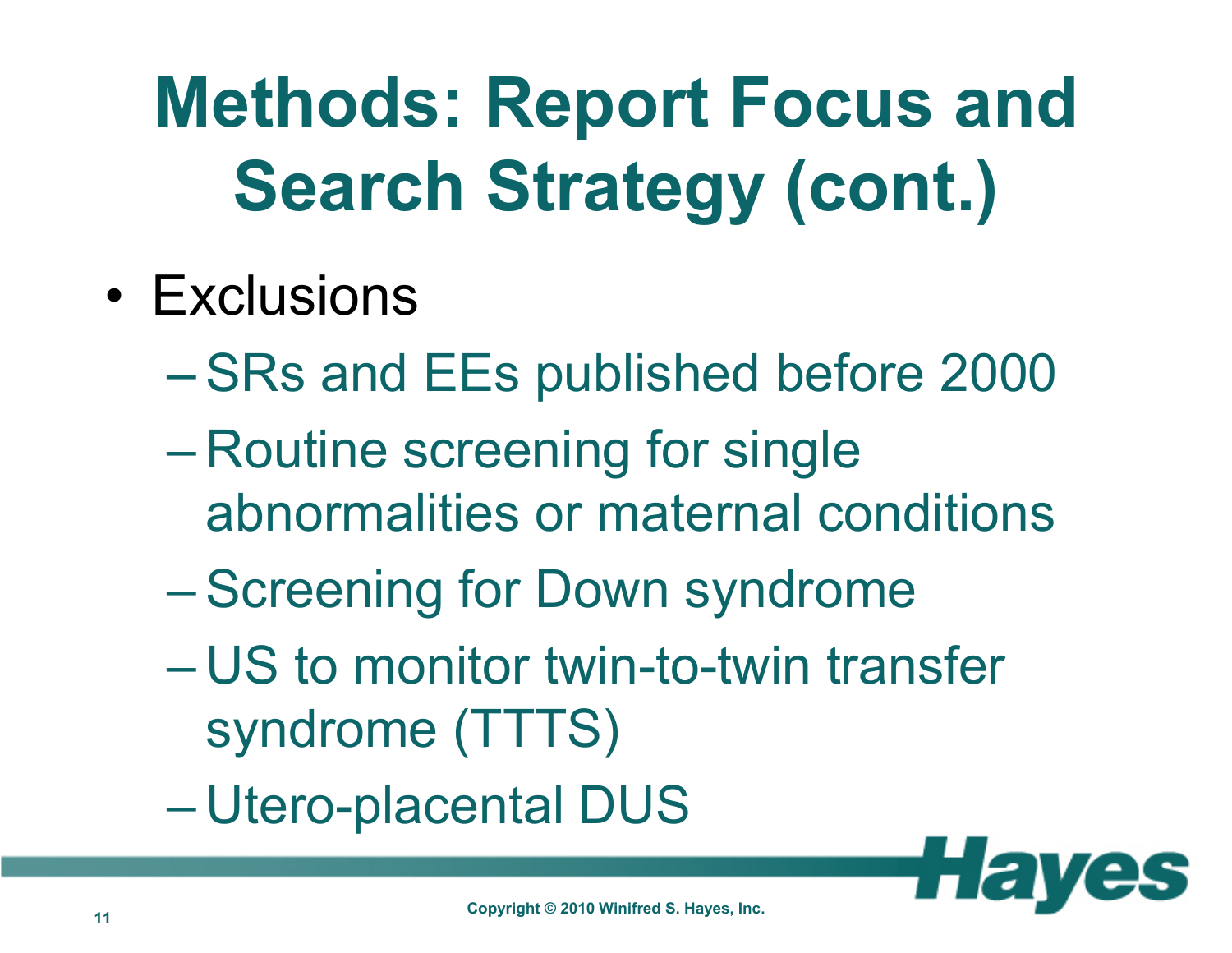## **Methods: Report Focus and Search Strategy (cont.)**

- • Exclusions
	- $\mathcal{L}_{\mathcal{A}}$  , the state of the state of the state of the state of the state of the state of the state of the state of the state of the state of the state of the state of the state of the state of the state of the state  $-$  SRs and EEs published before 2000
	- Routine screening for single abnormalities or maternal conditions
	- $\mathcal{L}_{\mathcal{A}}$  , the state of the state of the state of the state of the state of the state of the state of the state of the state of the state of the state of the state of the state of the state of the state of the state **- Screening for Down syndrome**
	- – US to monitor twin-to-twin transfer syndrome (TTTS)
	- Utero-placental DUS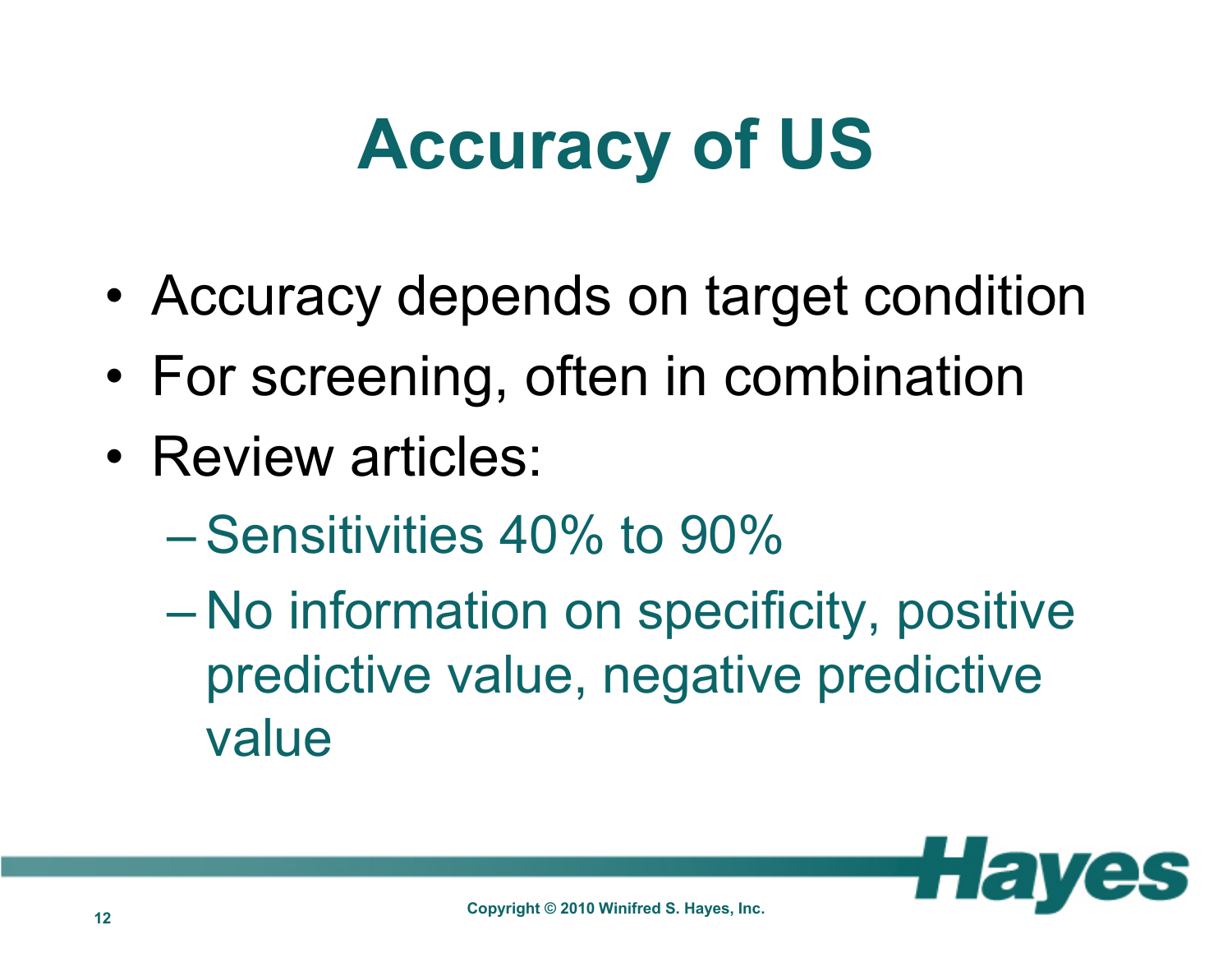### **Accuracy of US**

- •Accuracy depends on target condition
- •For screening, often in combination
- •• Review articles:
	- $-$  Sensitivities 40% to 90%
	- No information on specificity, positive predictive value, negative predictive value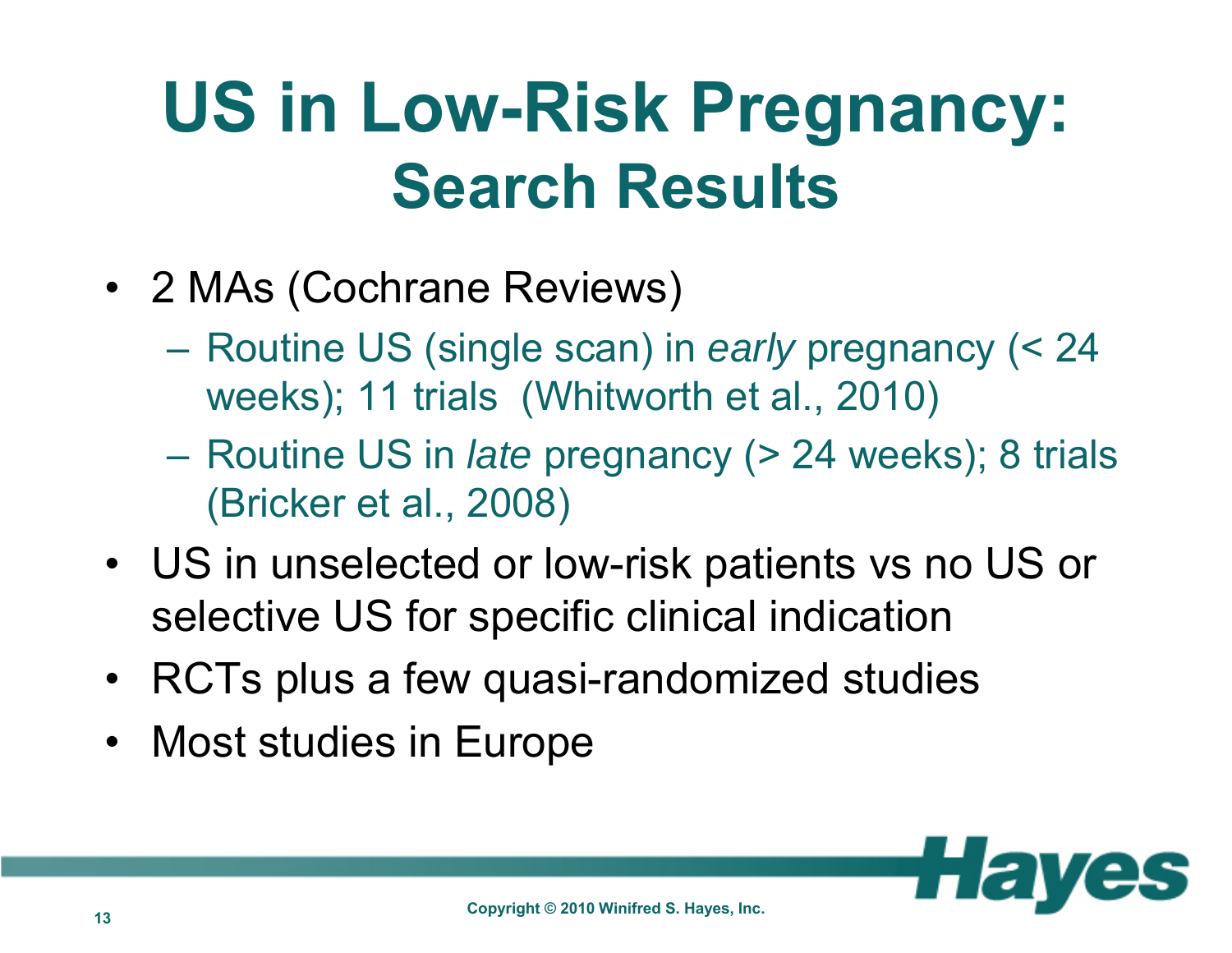#### **US in Low-Risk Pregnancy: Search Results**

- 2 MAs (Cochrane Reviews)
	- $\mathcal{L}_{\mathcal{A}}$  , and the set of  $\mathcal{L}_{\mathcal{A}}$  Routine US (single scan) in *early* pregnancy (< 24 weeks); 11 trials (Whitworth et al., 2010)
	- $\mathcal{L}_{\mathcal{A}}$  , and the set of  $\mathcal{L}_{\mathcal{A}}$  Routine US in *late* pregnancy (> 24 weeks); 8 trials (Bricker et al., 2008)
- US in unselected or low-risk patients vs no US or selective US for specific clinical indication
- RCTs plus a few quasi-randomized studies
- Most studies in Europe

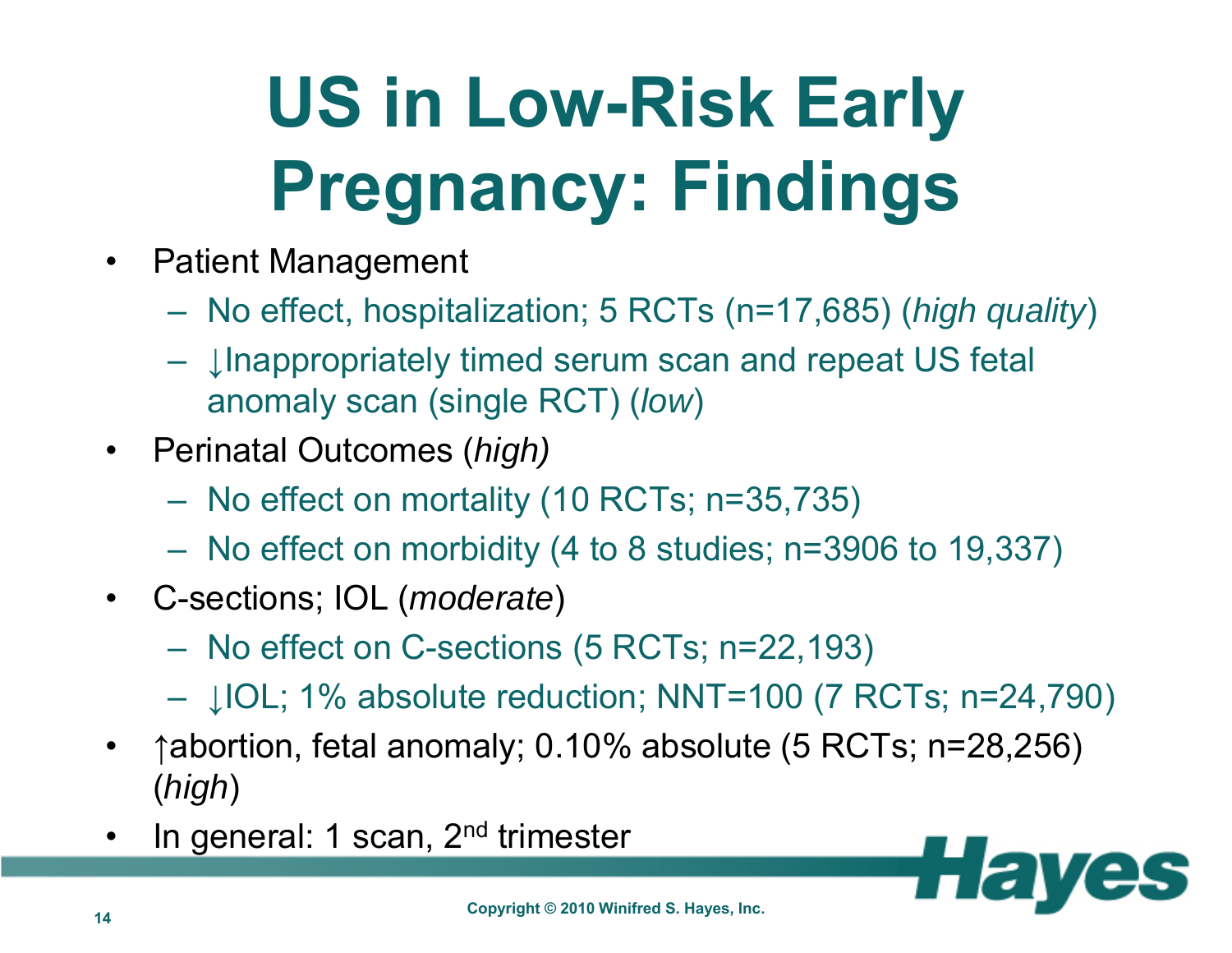# **US in Low-Risk Early Pregnancy: Findings**

- $\bullet$  Patient Management
	- $\mathcal{L}_{\mathcal{A}}$  , the state of the state of the state of the state of the state of the state of the state of the state of the state of the state of the state of the state of the state of the state of the state of the state No effect, hospitalization; 5 RCTs (n=17,685) (*high quality*)
	- $\mathcal{L}_{\mathcal{A}}$  , the state of the state of the state of the state of the state of the state of the state of the state of the state of the state of the state of the state of the state of the state of the state of the state  $−\,$  ↓Inappropriately timed serum scan and repeat US fetal anomaly scan (single RCT) (*low*)
- Perinatal Outcomes (*high)*
	- –No effect on mortality (10 RCTs; n=35,735)
	- $\mathcal{L}_{\mathcal{A}}$  , the state of the state of the state of the state of the state of the state of the state of the state of the state of the state of the state of the state of the state of the state of the state of the state No effect on morbidity (4 to 8 studies; n=3906 to 19,337)
- C-sections; IOL (*moderate*)
	- $\mathcal{L}_{\mathcal{A}}$  , the state of the state of the state of the state of the state of the state of the state of the state of the state of the state of the state of the state of the state of the state of the state of the state  $-$  No effect on C-sections (5 RCTs; n=22,193)
	- –↓IOL; 1% absolute reduction; NNT=100 (7 RCTs; n=24,790)
- $\bullet$ ↑abortion, fetal anomaly; 0.10% absolute (5 RCTs; n=28,256) (*high*)
- •In general: 1 scan, 2<sup>nd</sup> trimester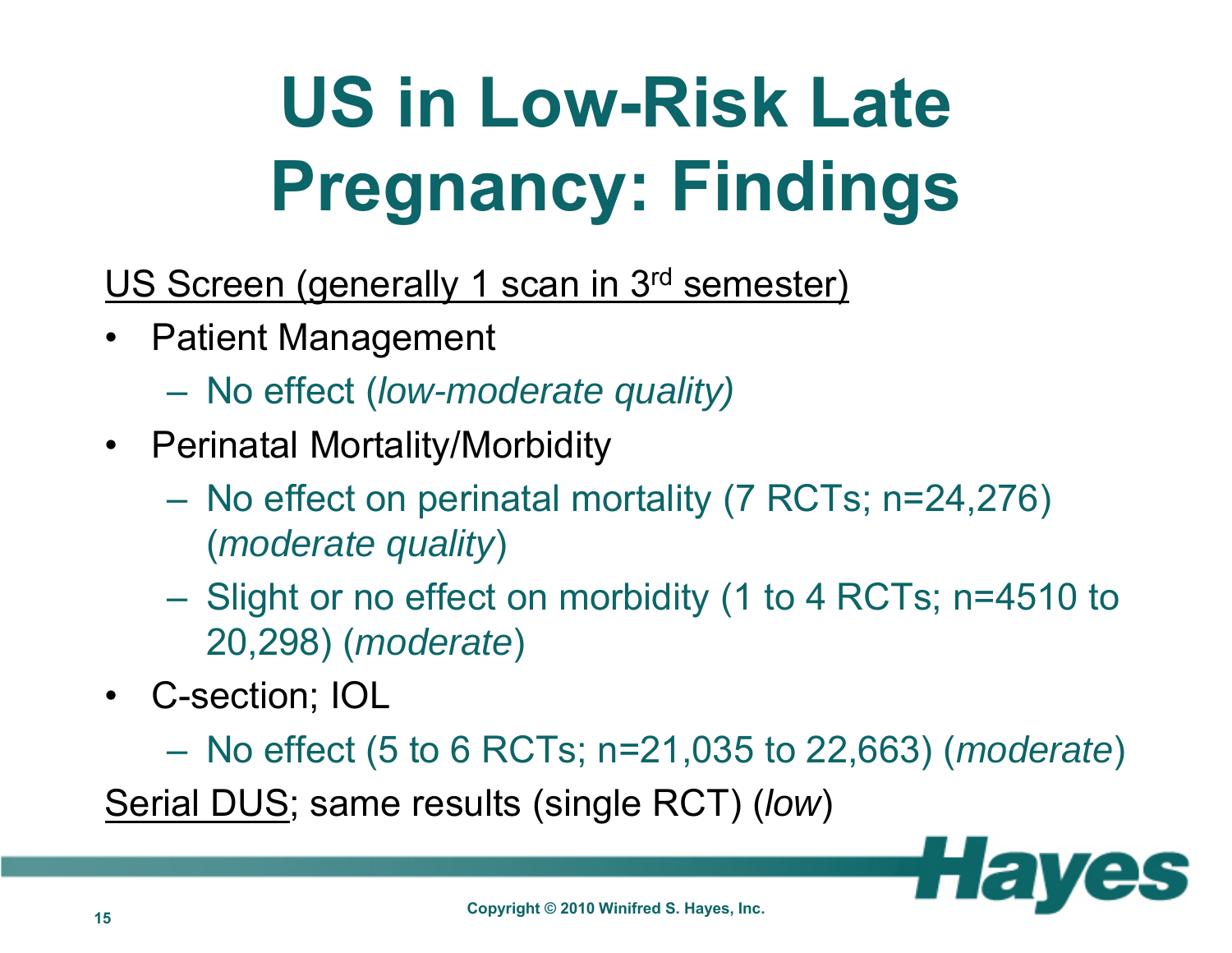# **US in Low-Risk Late Pregnancy: Findings**

- US Screen (generally 1 scan in 3<sup>rd</sup> semester)
- $\bullet$  Patient Management
	- No effect (*low-moderate quality)*
- Perinatal Mortality/Morbidity
	- No effect on perinatal mortality (7 RCTs; n=24,276) (*moderate quality*)
	- Slight or no effect on morbidity (1 to 4 RCTs; n=4510 to 20,298) (*moderate*)
- C-section; IOL
	- No effect (5 to 6 RCTs; n=21,035 to 22,663) (*moderate*)

Serial DUS; same results (single RCT) (*low*)

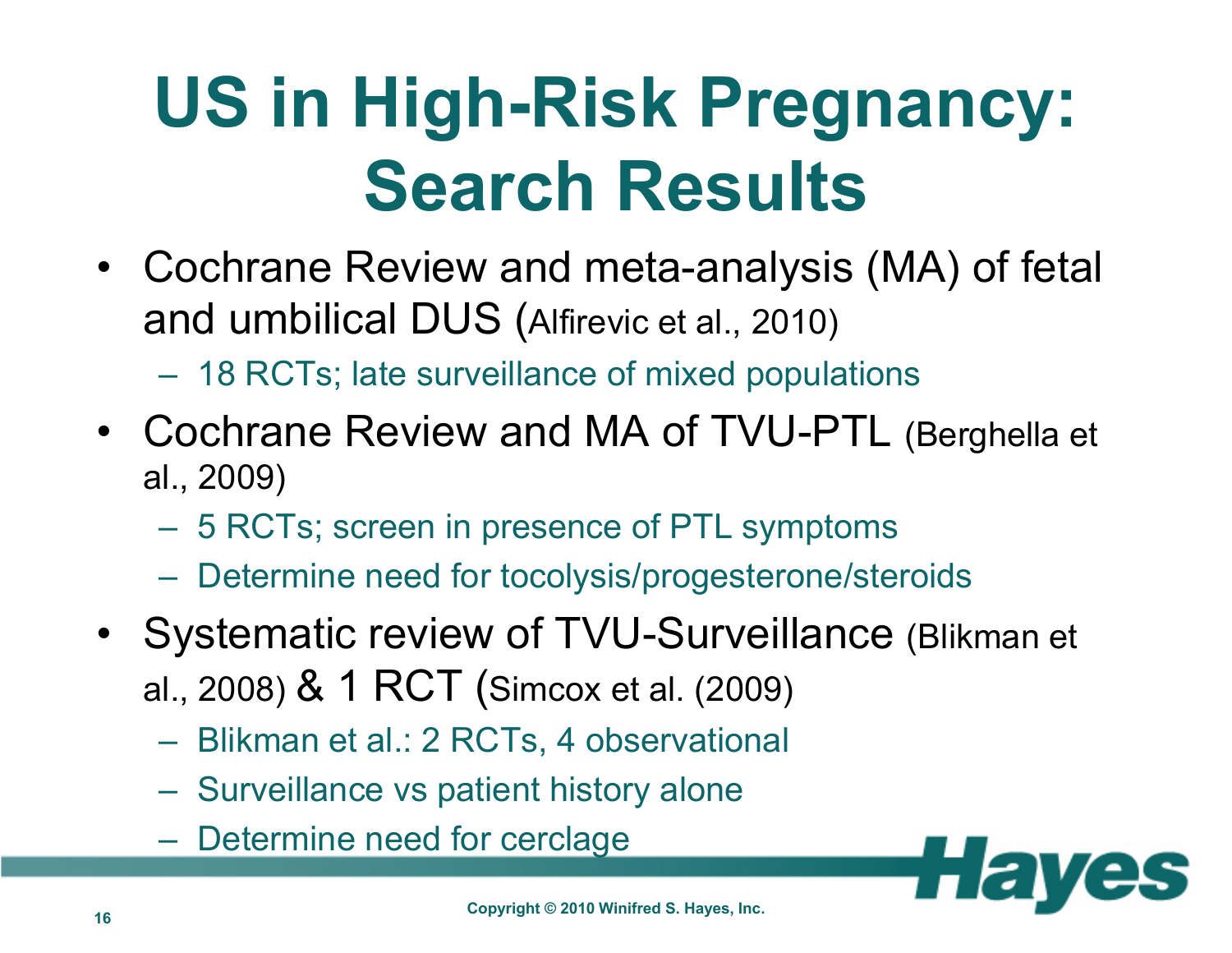### **US in High-Risk Pregnancy: Search Results**

- Cochrane Review and meta-analysis (MA) of fetal and umbilical DUS (Alfirevic et al., 2010)
	- $\mathcal{L}_{\mathcal{A}}$  , the state of the state of the state of the state of the state of the state of the state of the state of the state of the state of the state of the state of the state of the state of the state of the state 18 RCTs; late surveillance of mixed populations
- Cochrane Review and MA of TVU-PTL (Berghella et al., 2009)
	- $\mathcal{L}_{\mathcal{A}}$  , the state of the state of the state of the state of the state of the state of the state of the state of the state of the state of the state of the state of the state of the state of the state of the state 5 RCTs; screen in presence of PTL symptoms
	- $\mathcal{L}_{\mathcal{A}}$  , the state of the state of the state of the state of the state of the state of the state of the state of the state of the state of the state of the state of the state of the state of the state of the state Determine need for tocolysis/progesterone/steroids
- Systematic review of TVU-Surveillance (Blikman et al., 2008) & 1 RCT (Simcox et al. (2009)
	- Blikman et al.: 2 RCTs, 4 observational
	- Surveillance vs patient history alone
	- Determine need for cerclage

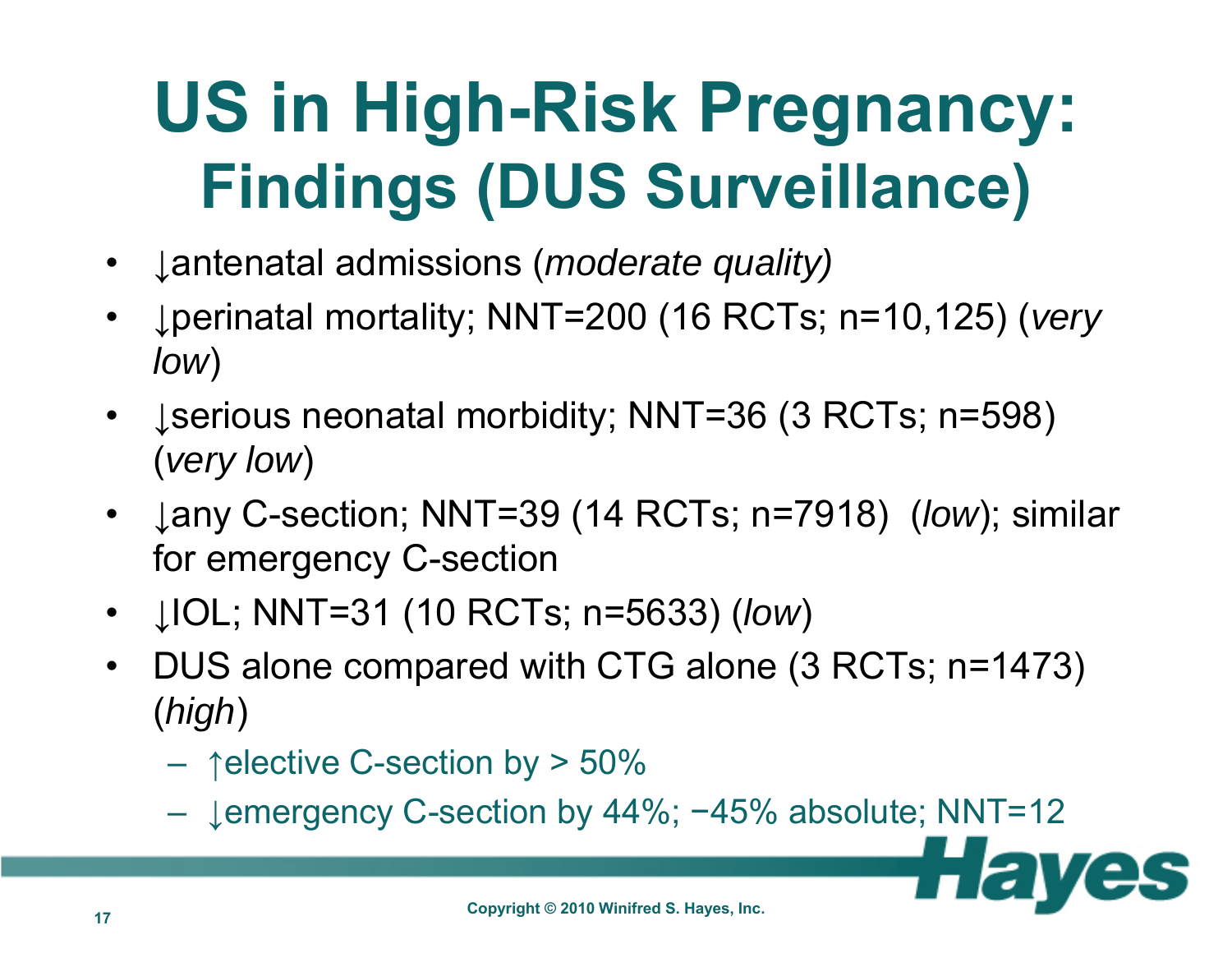### **US in High-Risk Pregnancy: Findings (DUS Surveillance)**

- •↓antenatal admissions (*moderate quality)*
- $\bullet$  ↓perinatal mortality; NNT=200 (16 RCTs; n=10,125) (*very low*)
- ↓serious neonatal morbidity; NNT=36 (3 RCTs; n=598) (*very low*)
- ↓any C-section; NNT=39 (14 RCTs; n=7918) (*low*); similar for emergency C-section
- ↓IOL; NNT=31 (10 RCTs; n=5633) (*low*)
- $\bullet$  DUS alone compared with CTG alone (3 RCTs; n=1473) (*high*)
	- $\mathcal{L}_{\mathcal{A}}$  , the state of the state of the state of the state of the state of the state of the state of the state of the state of the state of the state of the state of the state of the state of the state of the state  $-$  ↑elective C-section by > 50%
	- ↓emergency C-section by 44%; −45% absolute; NNT=12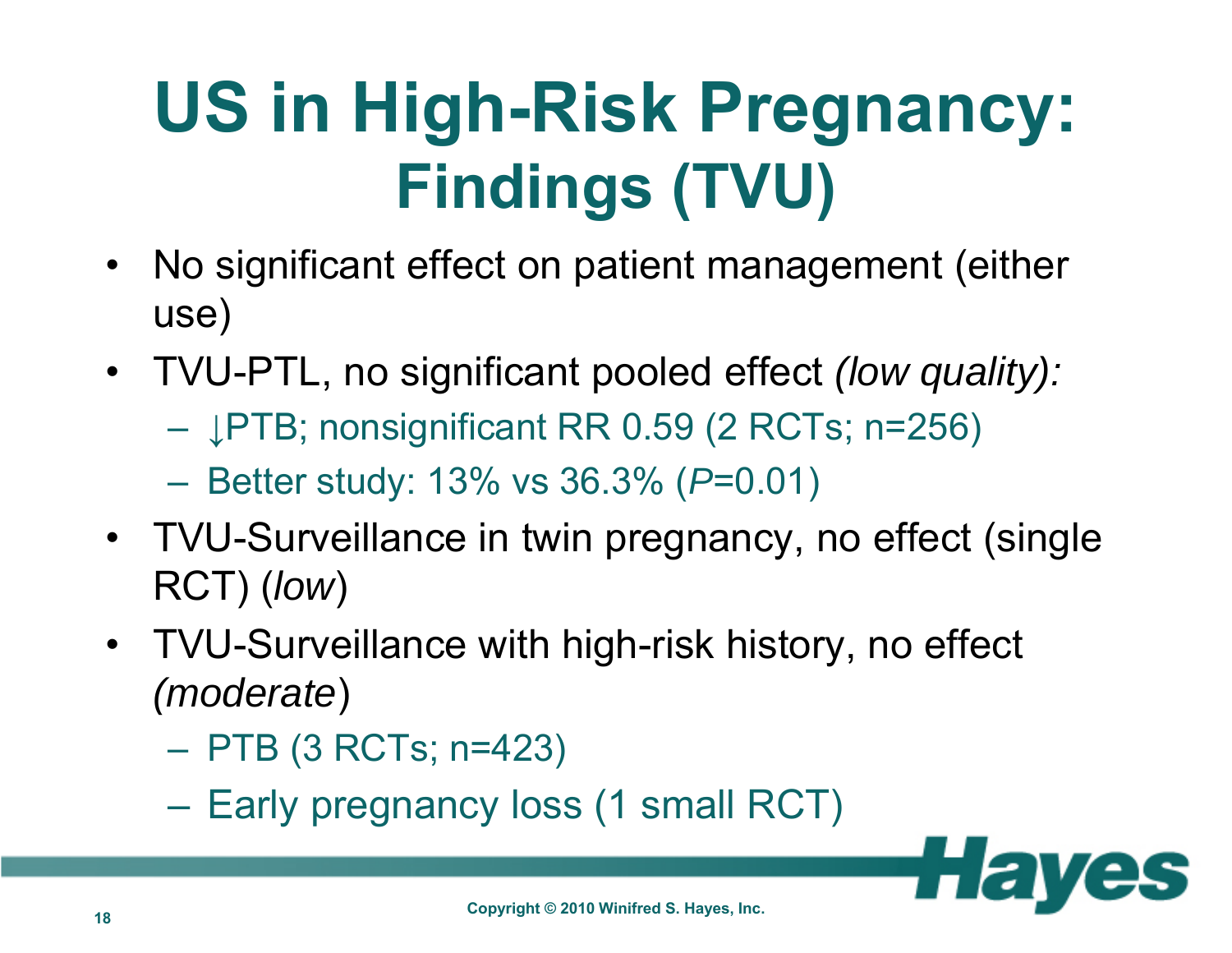### **US in High-Risk Pregnancy: Findings (TVU)**

- $\bullet$  No significant effect on patient management (either use)
- TVU-PTL, no significant pooled effect *(low quality):*
	- ↓PTB; nonsignificant RR 0.59 (2 RCTs; n=256)
	- Better study: 13% vs 36.3% (*P*=0.01)
- TVU-Surveillance in twin pregnancy, no effect (single RCT) (*low*)
- TVU-Surveillance with high-risk history, no effect *(moderate*)
	- PTB (3 RCTs; n=423)
	- Early pregnancy loss (1 small RCT)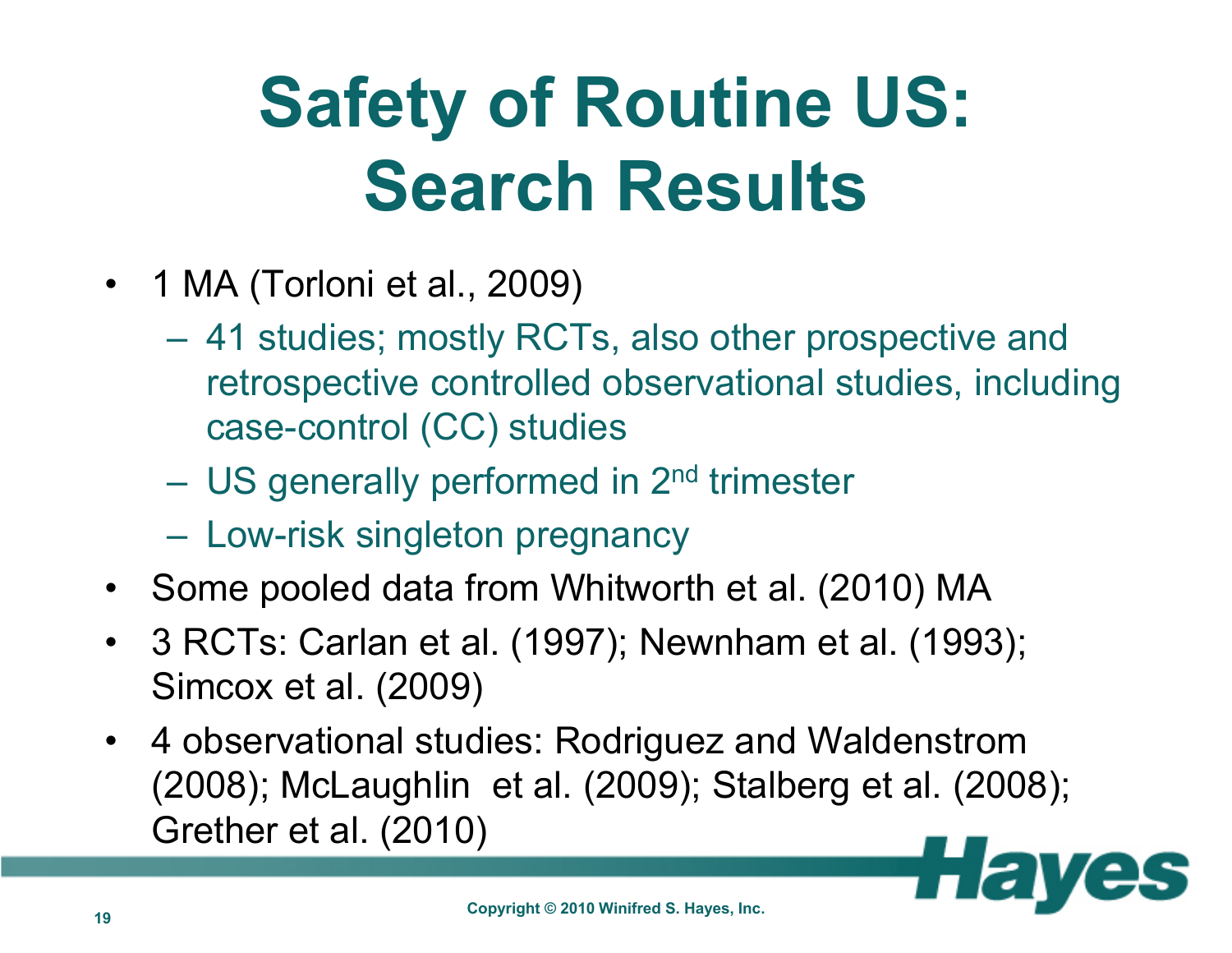## **Safety of Routine US: Search Results**

- 1 MA (Torloni et al., 2009)
	- 41 studies; mostly RCTs, also other prospective and retrospective controlled observational studies, including case-control (CC) studies
	- US generally performed in 2<sup>nd</sup> trimester
	- Low-risk singleton pregnancy
- Some pooled data from Whitworth et al. (2010) MA
- $\bullet$  3 RCTs: Carlan et al. (1997); Newnham et al. (1993); Simcox et al. (2009)
- 4 observational studies: Rodriguez and Waldenstrom (2008); McLaughlin et al. (2009); Stalberg et al. (2008); Grether et al. (2010)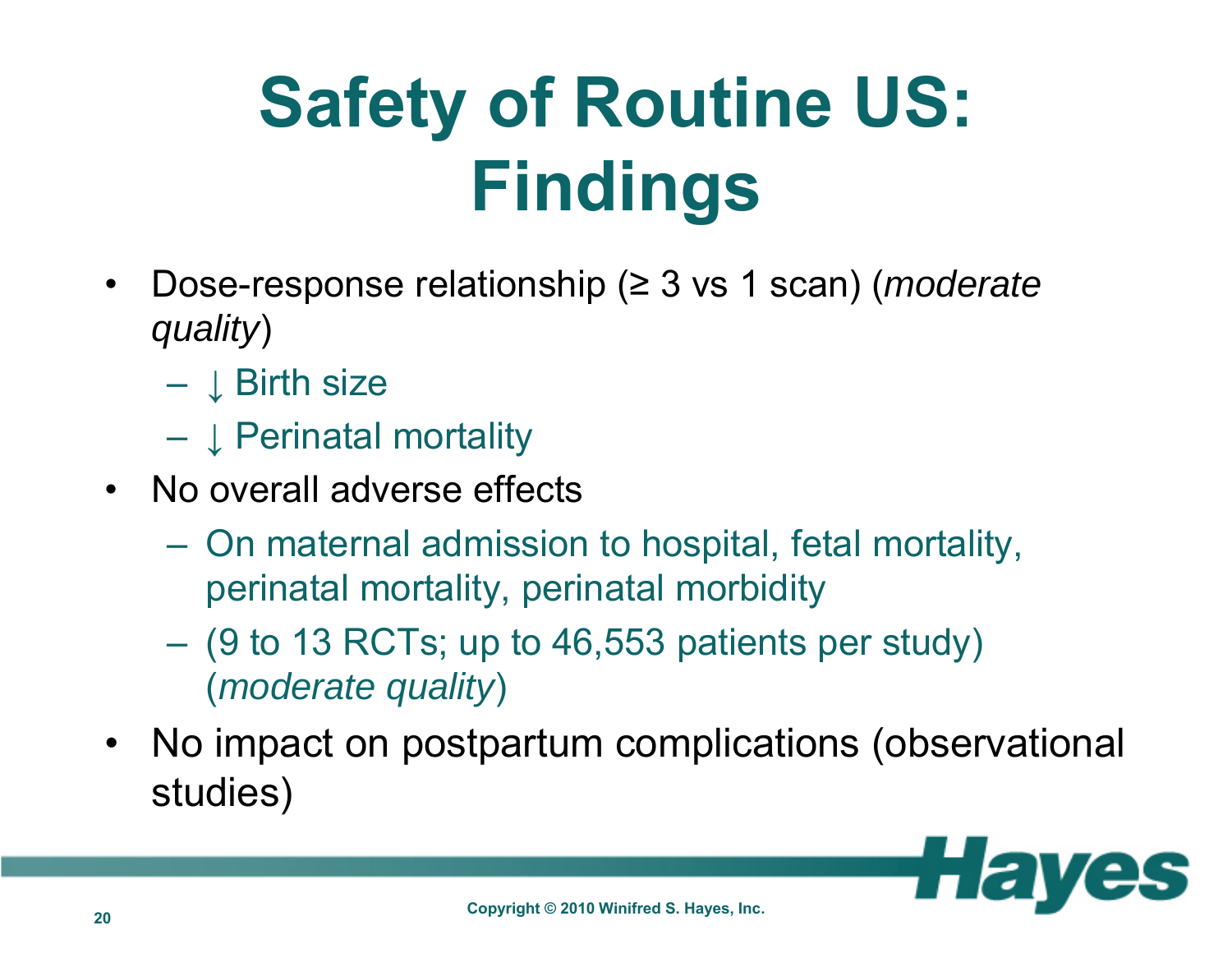# **Safety of Routine US: Findings**

- • Dose-response relationship (≥ 3 vs 1 scan) (*moderate quality*)
	- $\downarrow$  Birth size
	- $\mathcal{L}_{\mathcal{A}}$  , where  $\mathcal{L}_{\mathcal{A}}$  is the set of the set of the set of the set of the set of the set of the set of the set of the set of the set of the set of the set of the set of the set of the set of the set of the ↓ Perinatal mortality
- No overall adverse effects
	- – On maternal admission to hospital, fetal mortality, perinatal mortality, perinatal morbidity
	- (9 to 13 RCTs; up to 46,553 patients per study) (*moderate quality*)
- No impact on postpartum complications (observational studies)

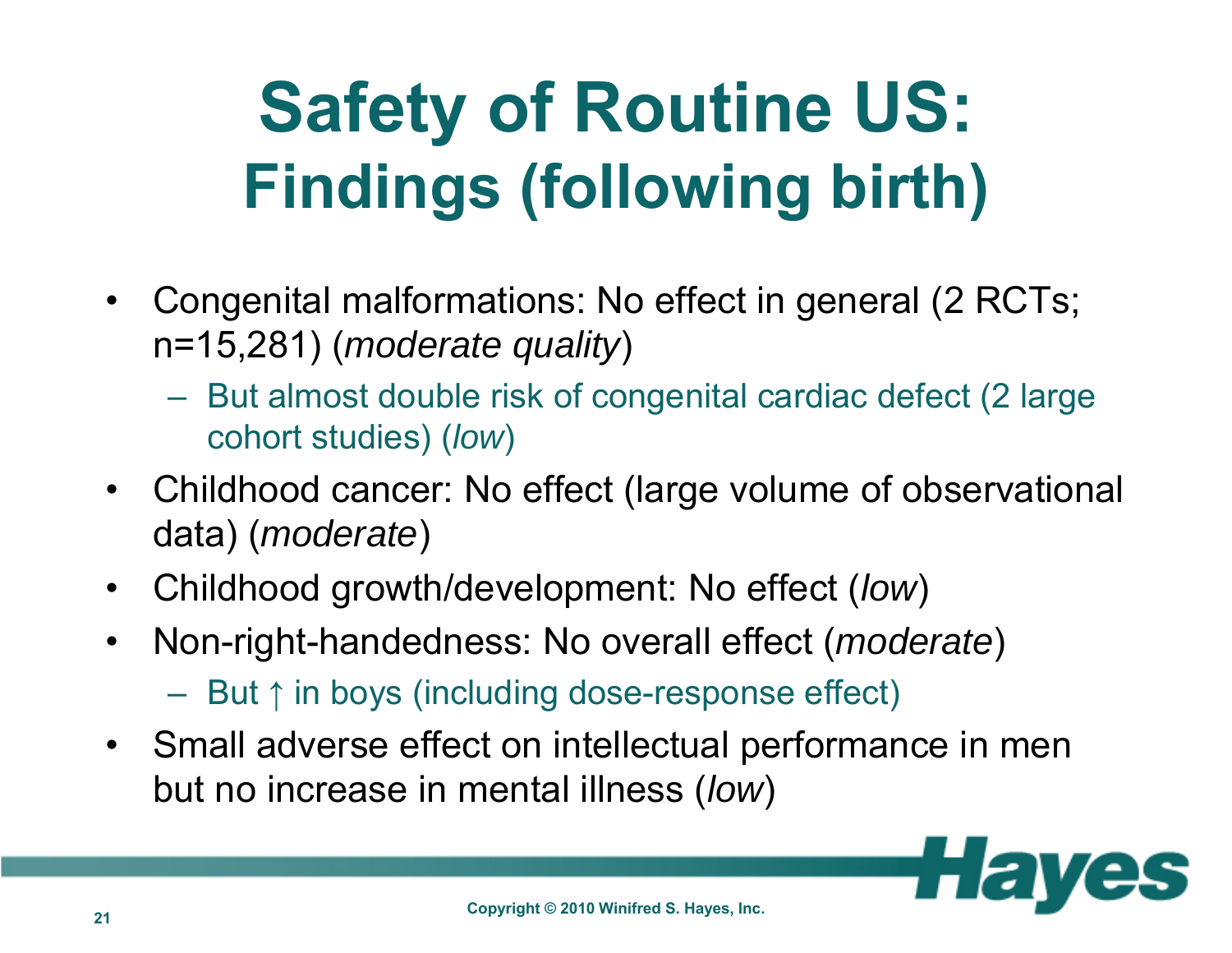### **Safety of Routine US: Findings (following birth)**

- Congenital malformations: No effect in general (2 RCTs; n=15,281) (*moderate quality*)
	- $\mathcal{L}_{\mathcal{A}}$  , the state of the state of the state of the state of the state of the state of the state of the state of the state of the state of the state of the state of the state of the state of the state of the state But almost double risk of congenital cardiac defect (2 large cohort studies) (*low*)
- Childhood cancer: No effect (large volume of observational data) (*moderate*)
- Childhood growth/development: No effect (*low*)
- $\bullet$  Non-right-handedness: No overall effect (*moderate*)  $\mathcal{L}_{\mathcal{A}}$  , the state of the state of the state of the state of the state of the state of the state of the state of the state of the state of the state of the state of the state of the state of the state of the state But ↑ in boys (including dose-response effect)
- Small adverse effect on intellectual performance in men but no increase in mental illness (*low*)

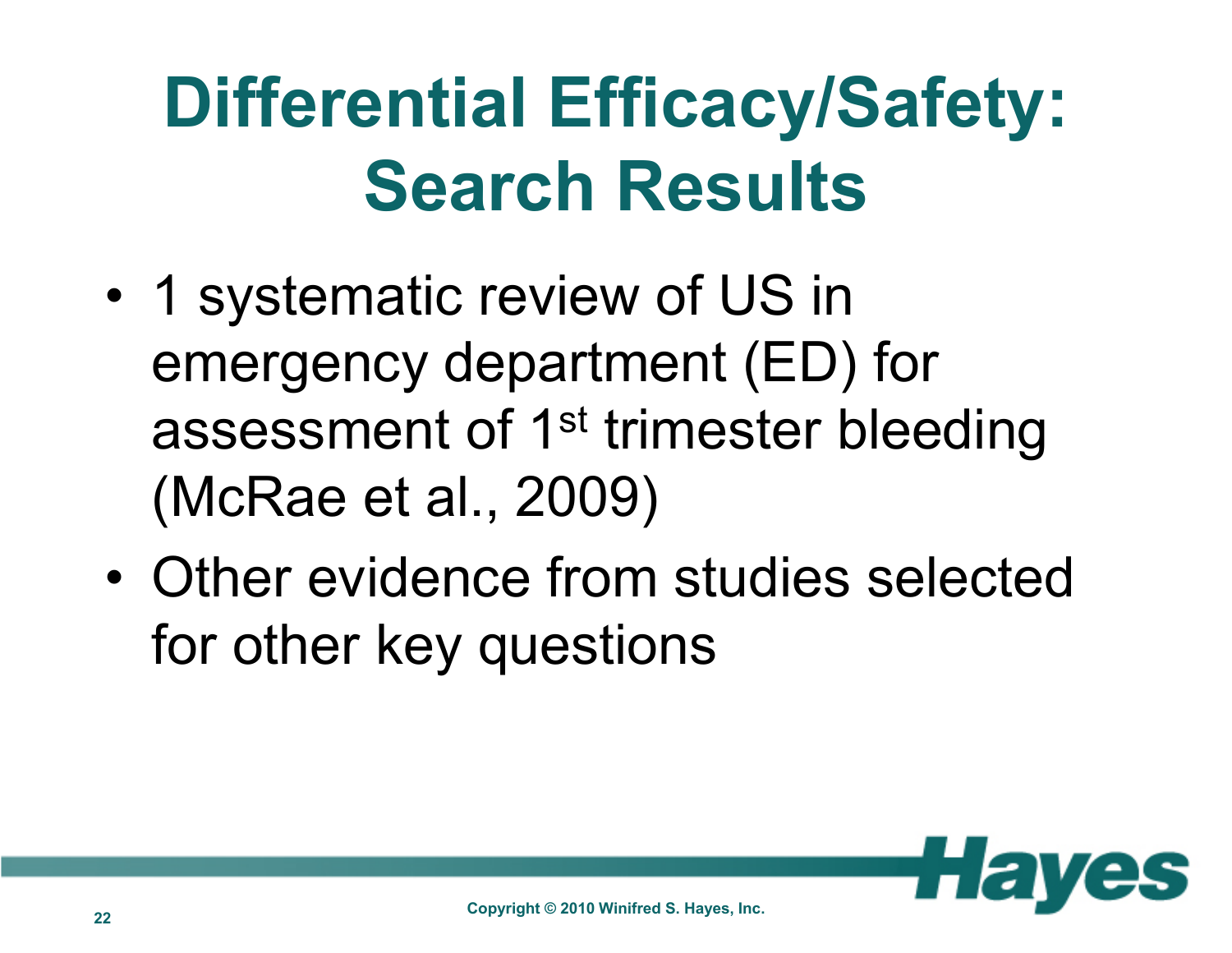## **Differential Efficacy/Safety: Search Results**

- • 1 systematic review of US in emergency department (ED) for assessment of 1<sup>st</sup> trimester bleeding (McRae et al., 2009)
- • Other evidence from studies selected for other key questions

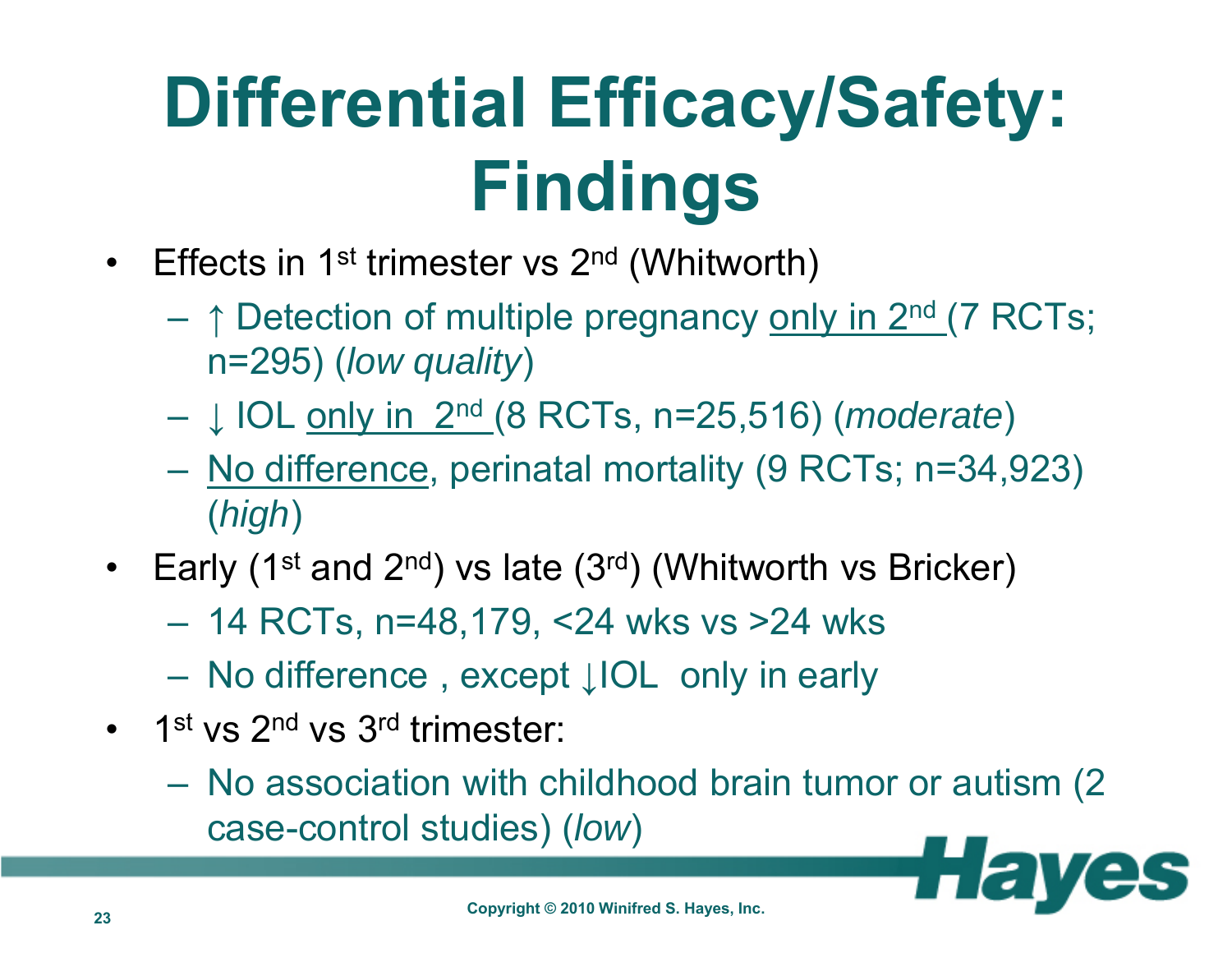## **Differential Efficacy/Safety: Findings**

- Effects in 1<sup>st</sup> trimester vs 2<sup>nd</sup> (Whitworth)
	- **↑** Detection of multiple pregnancy only in 2nd (7 RCTs; n=295) (*low quality*)
	- **↓** IOL only in 2nd (8 RCTs, n=25,516) (*moderate*)
	- <u>No difference,</u> perinatal mortality (9 RCTs; n=34,923) (*high*)
- Early (1<sup>st</sup> and 2<sup>nd</sup>) vs late (3<sup>rd</sup>) (Whitworth vs Bricker)
	- $\mathcal{L}_{\mathcal{A}}$ 14 RCTs, n=48,179, <24 wks vs >24 wks
	- $\mathcal{L}_{\mathcal{A}}$ No difference , except **↓**IOL only in early
- 1st vs 2<sup>nd</sup> vs 3<sup>rd</sup> trimester:
	- No association with childhood brain tumor or autism (2 case-control studies) (*low*)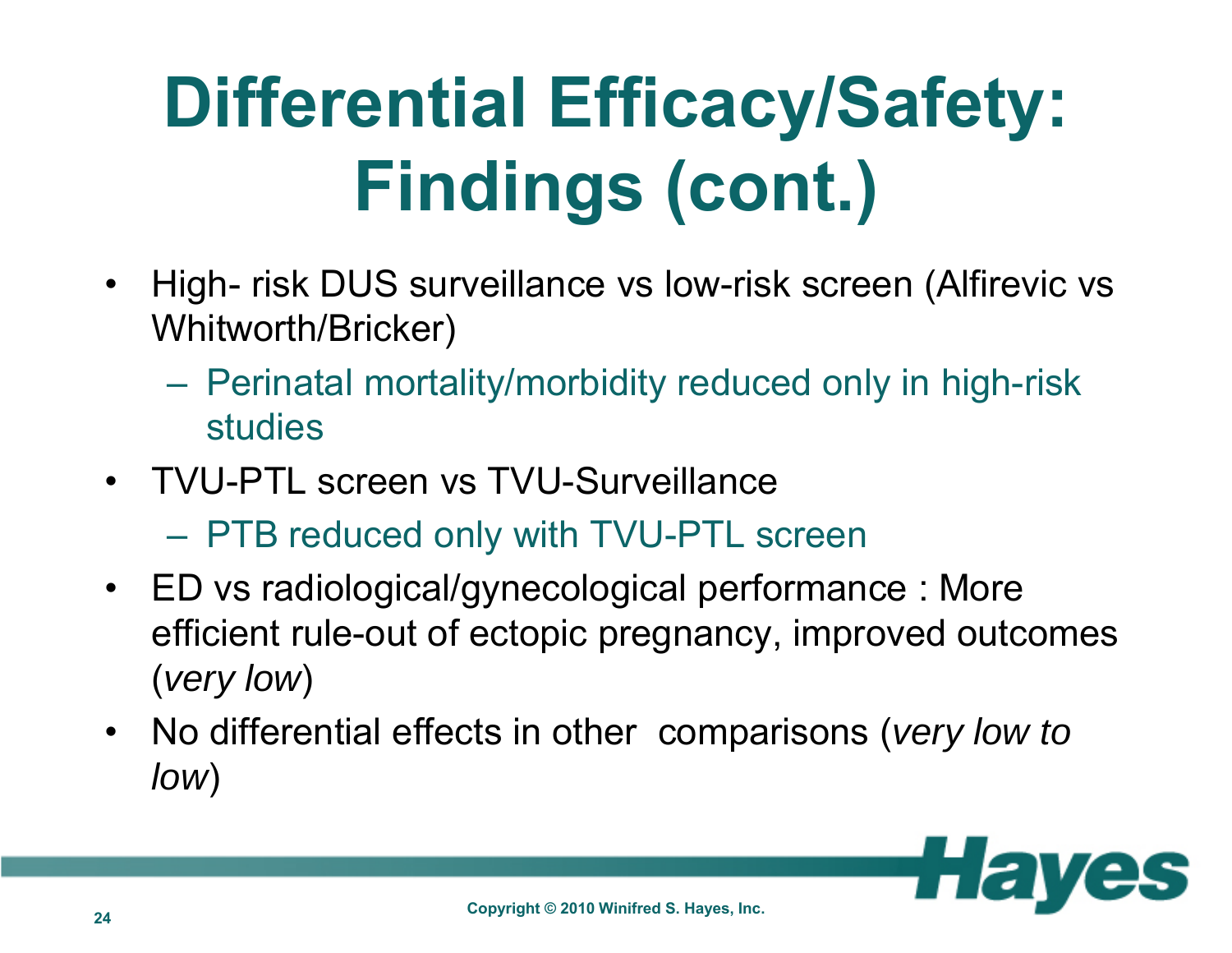# **Differential Efficacy/Safety: Findings (cont.)**

- $\bullet$  High- risk DUS surveillance vs low-risk screen (Alfirevic vs Whitworth/Bricker)
	- Perinatal mortality/morbidity reduced only in high-risk studies
- TVU-PTL screen vs TVU-SurveillancePTB reduced only with TVU-PTL screen
- ED vs radiological/gynecological performance : More efficient rule-out of ectopic pregnancy, improved outcomes (*very low*)
- No differential effects in other comparisons (*very low to low*)

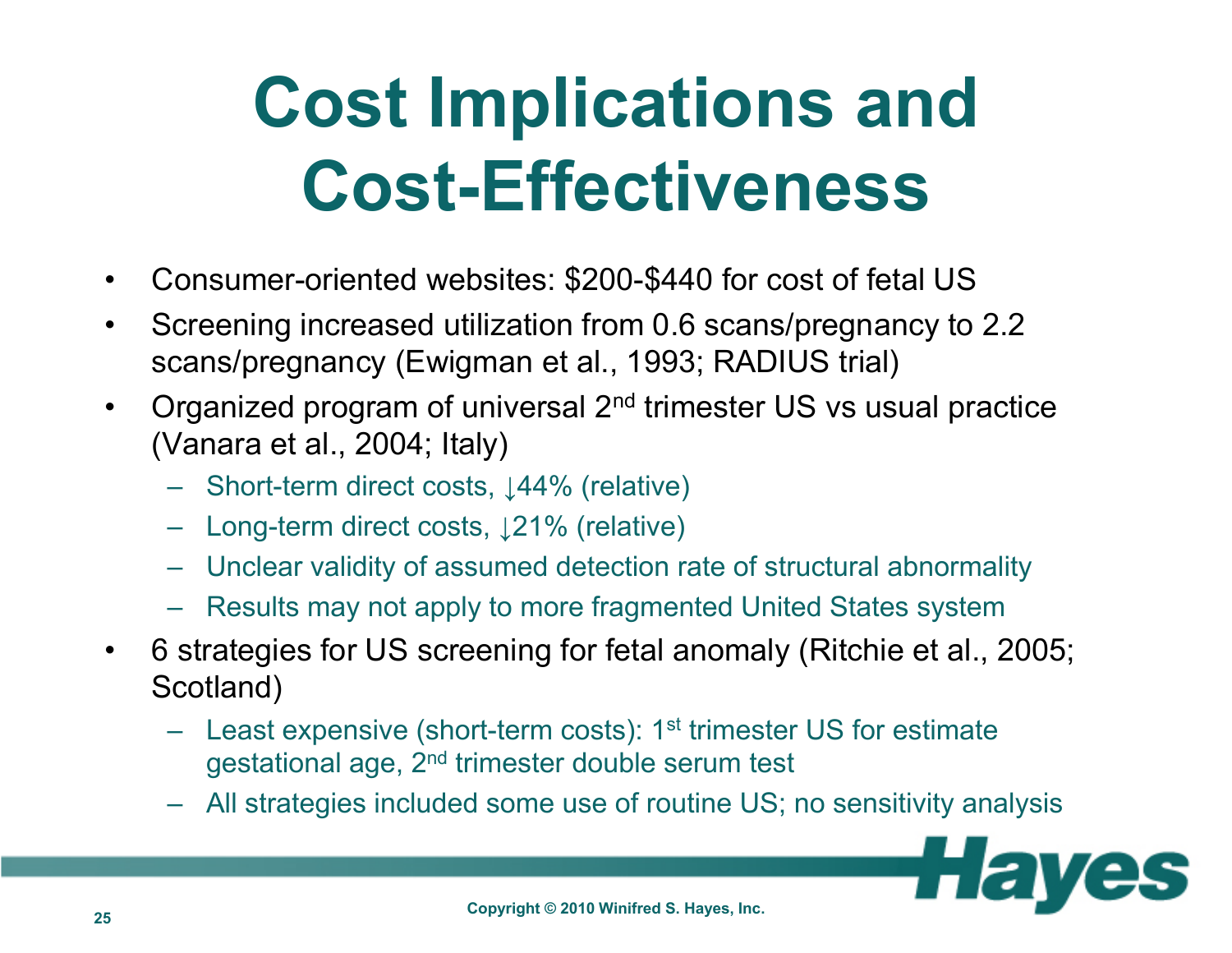### **Cost Implications and Cost-Effectiveness**

- •Consumer-oriented websites: \$200-\$440 for cost of fetal US
- • Screening increased utilization from 0.6 scans/pregnancy to 2.2 scans/pregnancy (Ewigman et al., 1993; RADIUS trial)
- $\bullet$  Organized program of universal 2nd trimester US vs usual practice (Vanara et al., 2004; Italy)
	- Short-term direct costs, ↓44% (relative)
	- Long-term direct costs, ↓21% (relative)
	- Unclear validity of assumed detection rate of structural abnormality
	- Results may not apply to more fragmented United States system
- • 6 strategies for US screening for fetal anomaly (Ritchie et al., 2005; Scotland)
	- Least expensive (short-term costs): 1<sup>st</sup> trimester US for estimate gestational age, 2nd trimester double serum test
	- All strategies included some use of routine US; no sensitivity analysis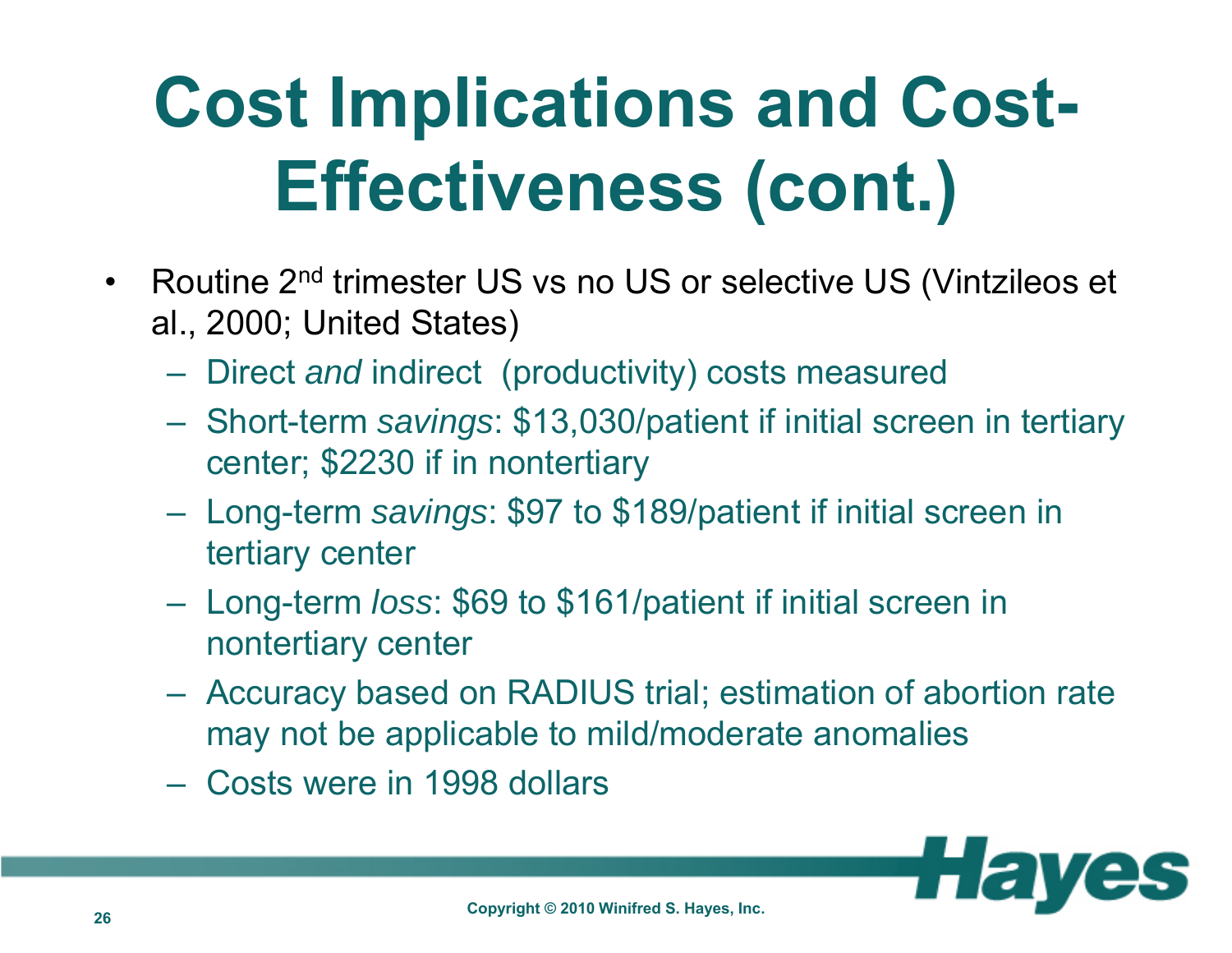## **Cost Implications and Cost-Effectiveness (cont.)**

- $\bullet$  Routine 2nd trimester US vs no US or selective US (Vintzileos et al., 2000; United States)
	- Direct *and* indirect (productivity) costs measured
	- Short-term *savings*: \$13,030/patient if initial screen in tertiary center; \$2230 if in nontertiary
	- Long-term *savings*: \$97 to \$189/patient if initial screen in tertiary center
	- Long-term *loss*: \$69 to \$161/patient if initial screen in nontertiary center
	- Accuracy based on RADIUS trial; estimation of abortion rate may not be applicable to mild/moderate anomalies
	- Costs were in 1998 dollars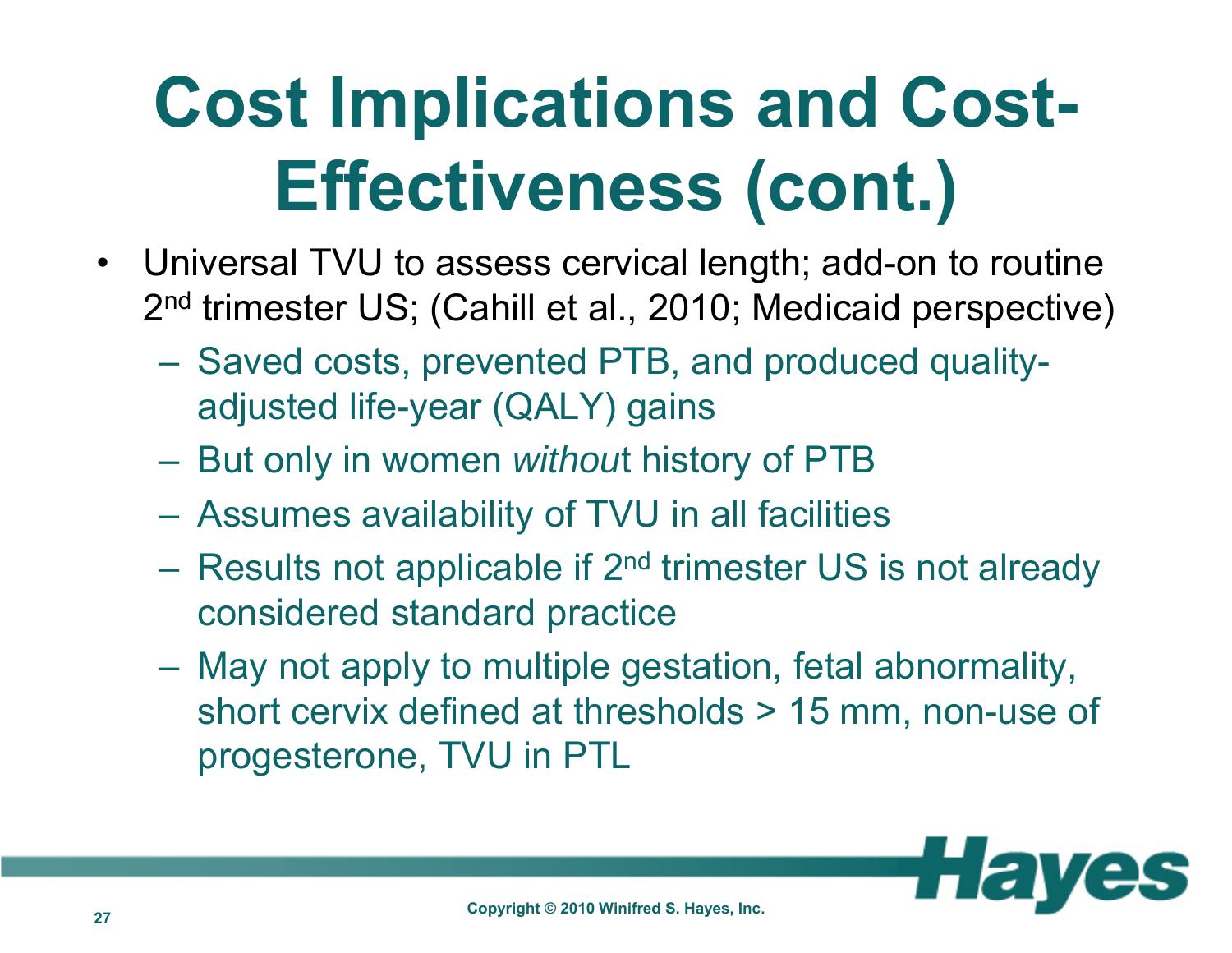## **Cost Implications and Cost-Effectiveness (cont.)**

- • Universal TVU to assess cervical length; add-on to routine 2nd trimester US; (Cahill et al., 2010; Medicaid perspective)
	- Saved costs, prevented PTB, and produced qualityadjusted life-year (QALY) gains
	- But only in women *withou*t history of PTB
	- Assumes availability of TVU in all facilities
	- Results not applicable if 2<sup>nd</sup> trimester US is not already considered standard practice
	- May not apply to multiple gestation, fetal abnormality, short cervix defined at thresholds > 15 mm, non-use of progesterone, TVU in PTL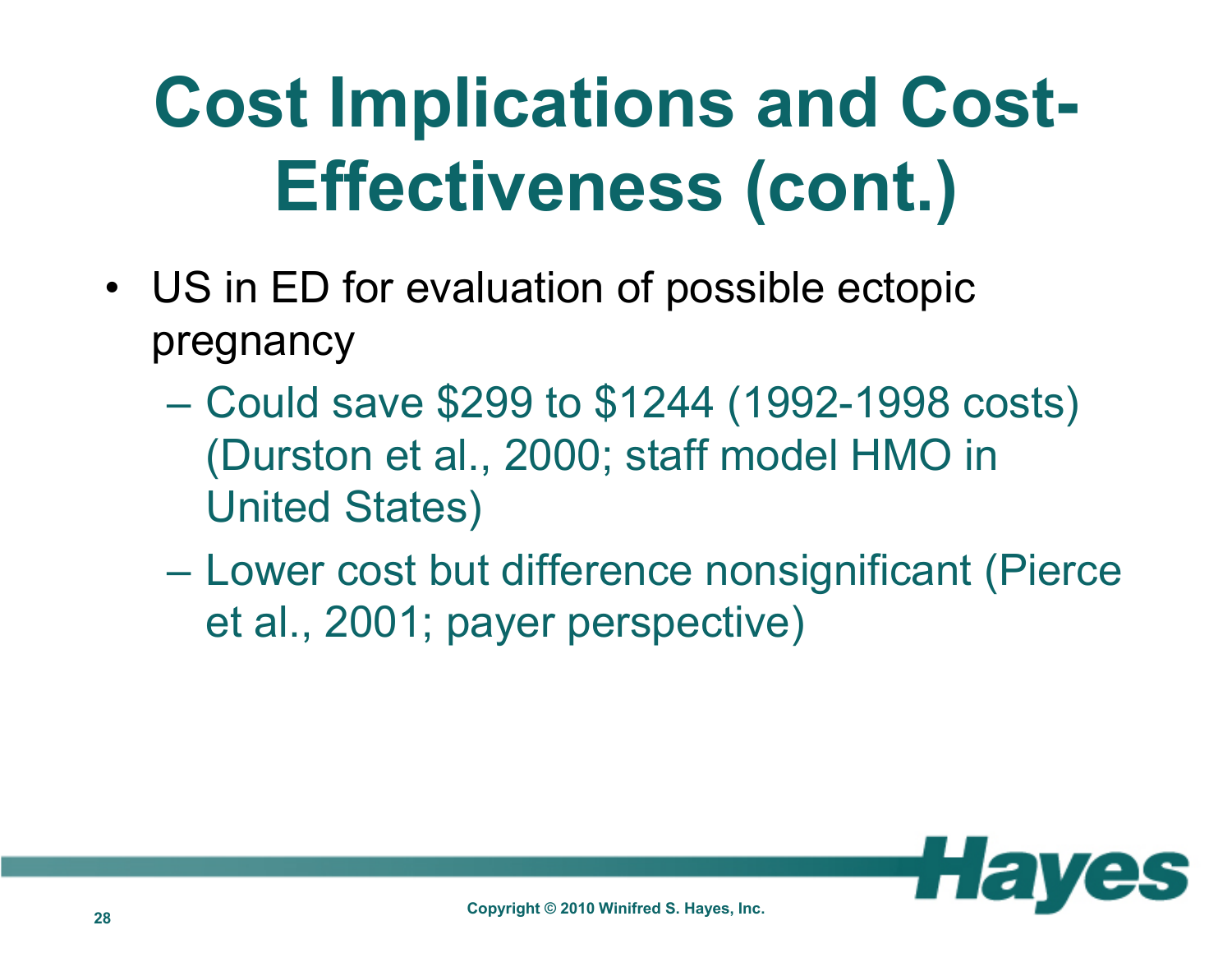## **Cost Implications and Cost-Effectiveness (cont.)**

- US in ED for evaluation of possible ectopic pregnancy
	- $\mathcal{L}_{\mathcal{A}}$  Could save \$299 to \$1244 (1992-1998 costs) (Durston et al., 2000; staff model HMO in United States)
	- $\mathcal{L}_{\mathcal{A}}$  , the state of the state of the state of the state of the state of the state of the state of the state of the state of the state of the state of the state of the state of the state of the state of the state Lower cost but difference nonsignificant (Pierce et al., 2001; payer perspective)

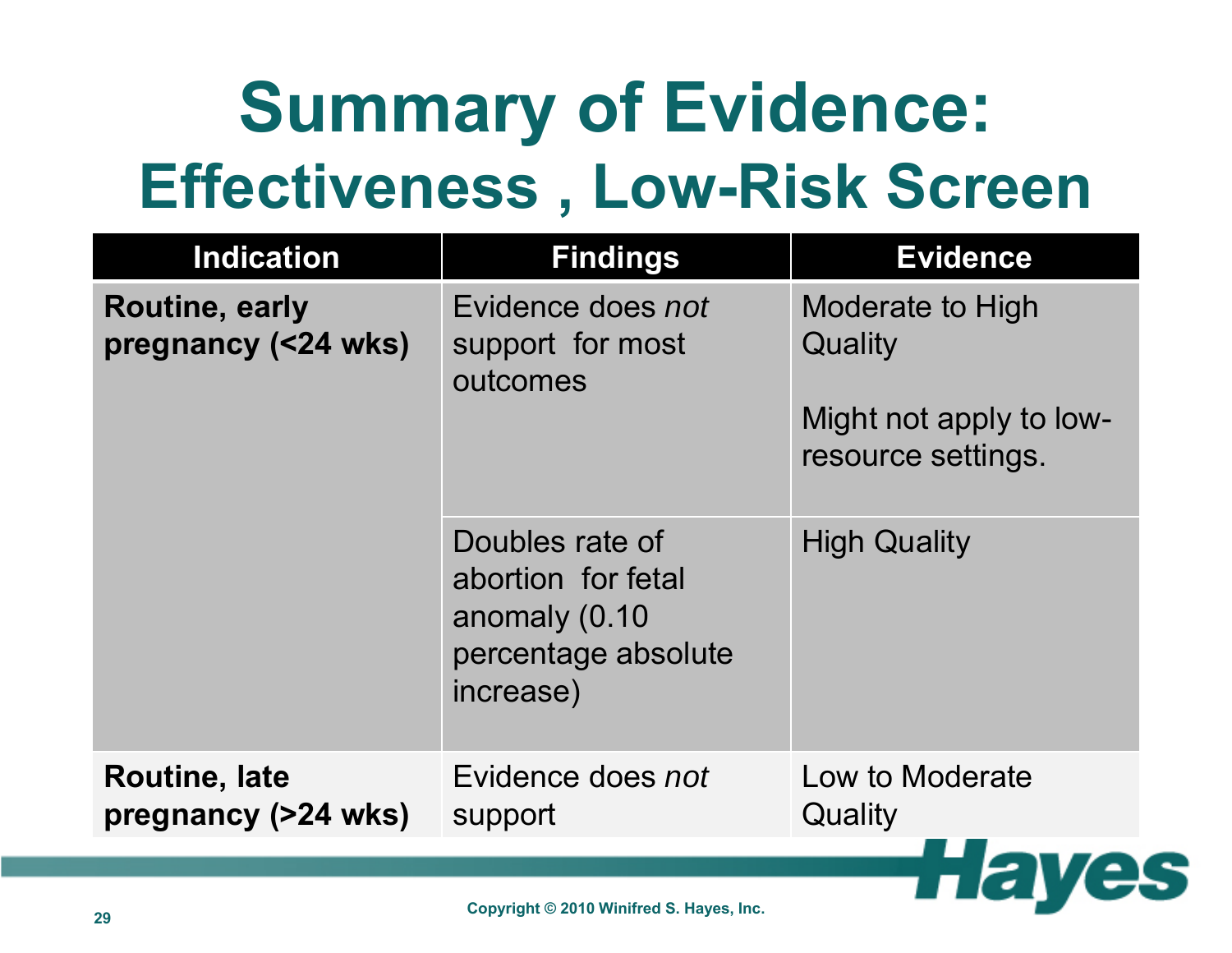### **Summary of Evidence: Effectiveness , Low-Risk Screen**

| <b>Indication</b>                            | <b>Findings</b>                                                                            | <b>Evidence</b>                                                              |
|----------------------------------------------|--------------------------------------------------------------------------------------------|------------------------------------------------------------------------------|
| <b>Routine, early</b><br>pregnancy (<24 wks) | Evidence does not<br>support for most<br>outcomes                                          | Moderate to High<br>Quality<br>Might not apply to low-<br>resource settings. |
|                                              | Doubles rate of<br>abortion for fetal<br>anomaly (0.10<br>percentage absolute<br>increase) | <b>High Quality</b>                                                          |
| <b>Routine, late</b><br>pregnancy (>24 wks)  | Evidence does not<br>support                                                               | Low to Moderate<br>Quality                                                   |
|                                              |                                                                                            |                                                                              |

 $\Gamma$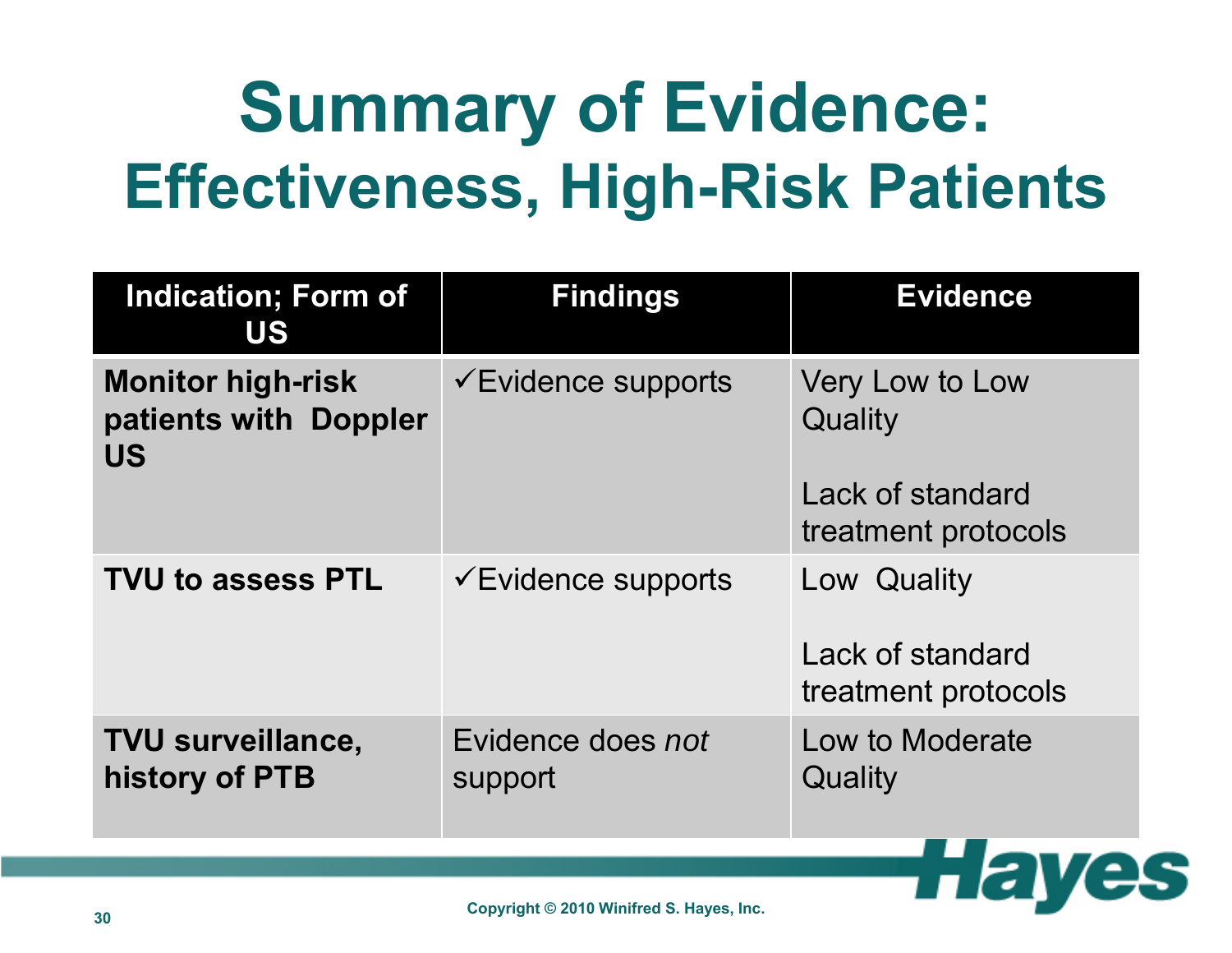### **Summary of Evidence: Effectiveness, High-Risk Patients**

| <b>Indication; Form of</b><br>US                               | <b>Findings</b>                | <b>Evidence</b>                                                       |
|----------------------------------------------------------------|--------------------------------|-----------------------------------------------------------------------|
| <b>Monitor high-risk</b><br>patients with Doppler<br><b>US</b> | $\checkmark$ Evidence supports | Very Low to Low<br>Quality<br>Lack of standard<br>treatment protocols |
| <b>TVU to assess PTL</b>                                       | $\checkmark$ Evidence supports | Low Quality<br>Lack of standard<br>treatment protocols                |
| <b>TVU surveillance,</b><br>history of PTB                     | Evidence does not<br>support   | Low to Moderate<br>Quality                                            |

 $L(E)$ 

25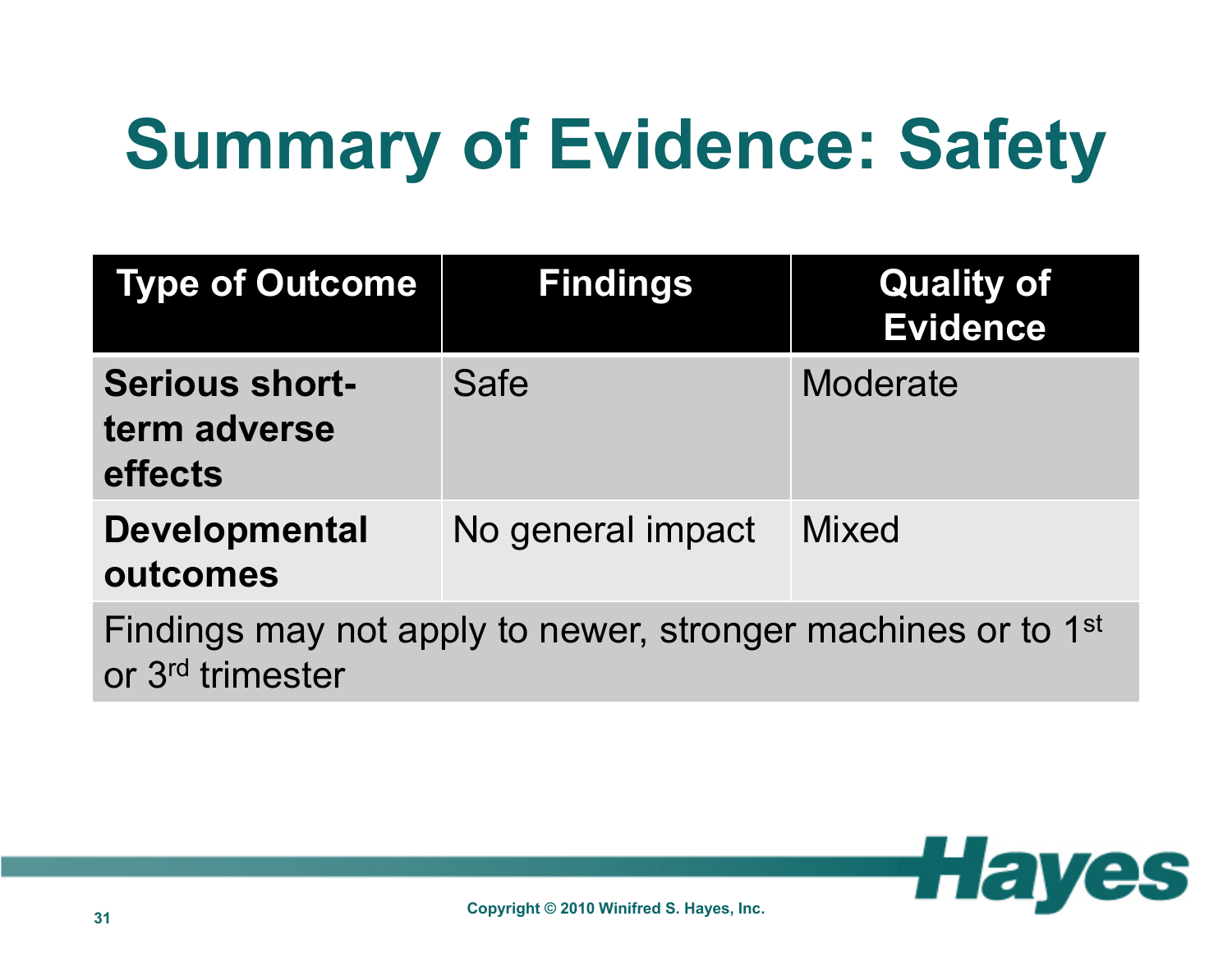# **Summary of Evidence: Safety**

| <b>Type of Outcome</b>                           | <b>Findings</b>                                                          | <b>Quality of</b><br><b>Evidence</b> |
|--------------------------------------------------|--------------------------------------------------------------------------|--------------------------------------|
| <b>Serious short-</b><br>term adverse<br>effects | <b>Safe</b>                                                              | <b>Moderate</b>                      |
| <b>Developmental</b><br>outcomes                 | No general impact                                                        | <b>Mixed</b>                         |
| or 3 <sup>rd</sup> trimester                     | Findings may not apply to newer, stronger machines or to 1 <sup>st</sup> |                                      |

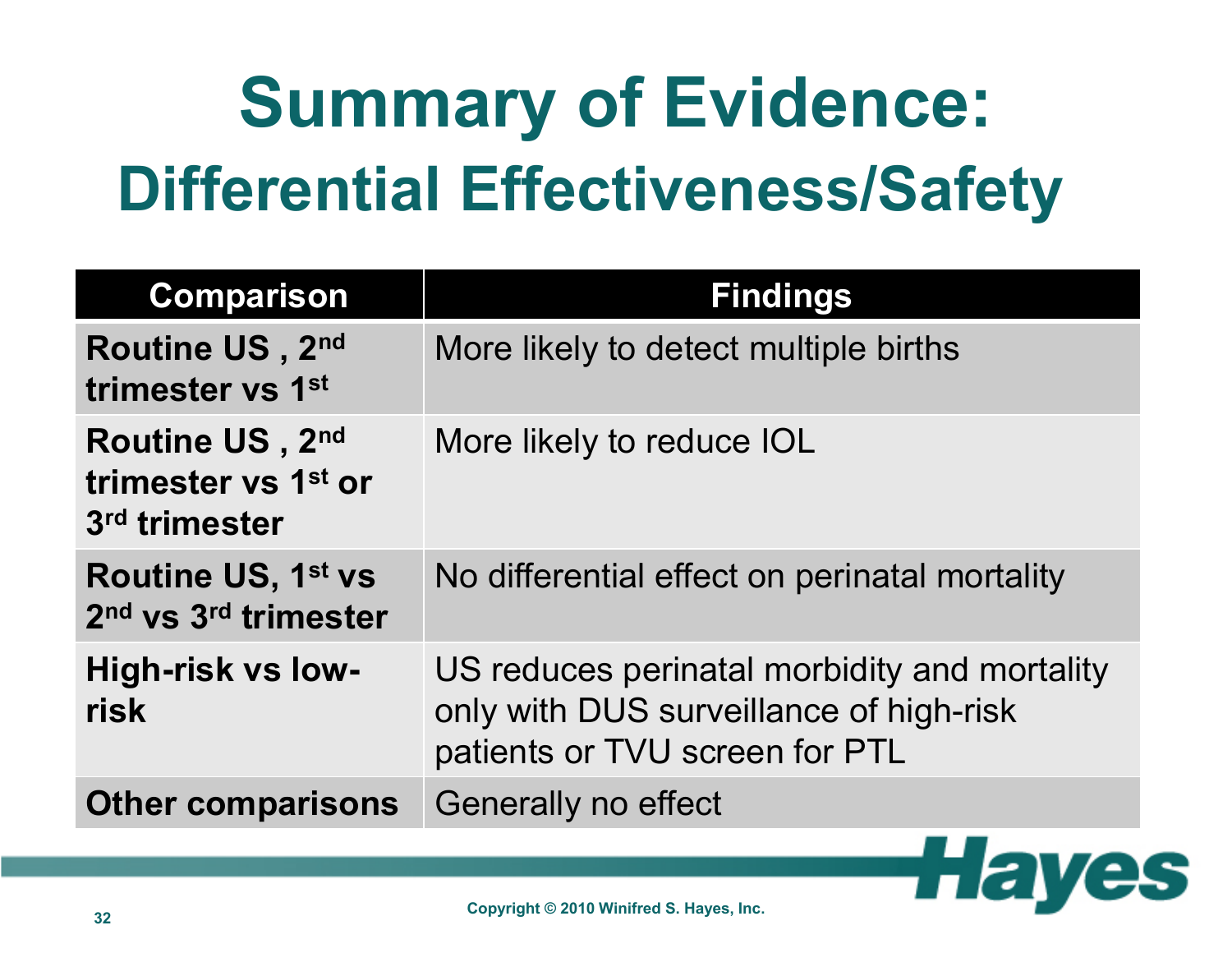# **Summary of Evidence: Differential Effectiveness/Safety**

| <b>Comparison</b>                                                         | <b>Findings</b>                                                                                                           |
|---------------------------------------------------------------------------|---------------------------------------------------------------------------------------------------------------------------|
| Routine US, 2nd<br>trimester vs 1st                                       | More likely to detect multiple births                                                                                     |
| Routine US, 2nd<br>trimester vs 1 <sup>st</sup> or<br>3rd trimester       | More likely to reduce IOL                                                                                                 |
| <b>Routine US, 1st vs</b><br>2 <sup>nd</sup> vs 3 <sup>rd</sup> trimester | No differential effect on perinatal mortality                                                                             |
| High-risk vs low-<br>risk                                                 | US reduces perinatal morbidity and mortality<br>only with DUS surveillance of high-risk<br>patients or TVU screen for PTL |
| <b>Other comparisons</b>                                                  | Generally no effect                                                                                                       |

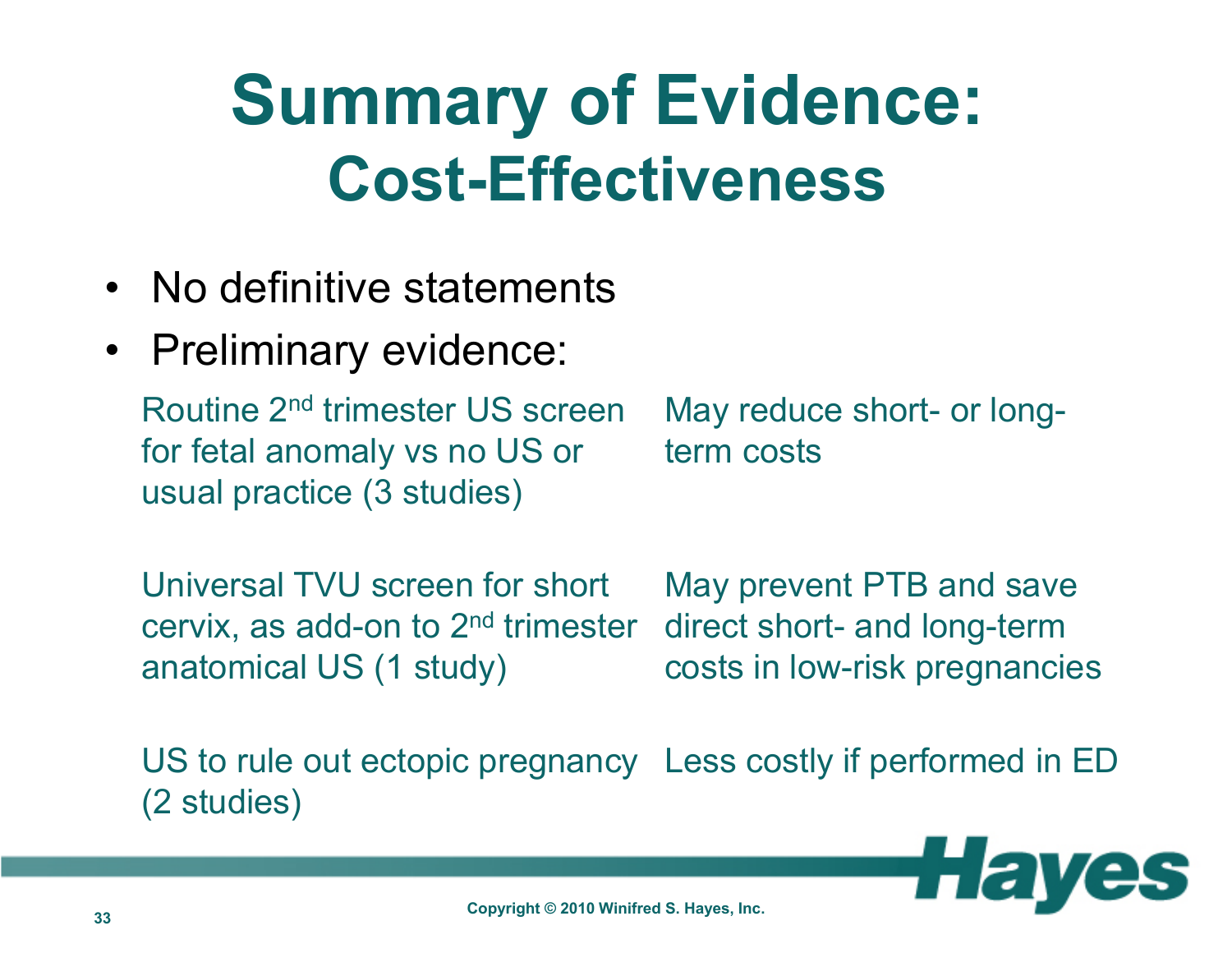#### **Summary of Evidence: Cost-Effectiveness**

- No definitive statements
- Preliminary evidence:

Routine 2nd trimester US screen for fetal anomaly vs no US or usual practice (3 studies)

May reduce short- or longterm costs

Universal TVU screen for short cervix, as add-on to 2nd trimester anatomical US (1 study)

May prevent PTB and save direct short- and long-term costs in low-risk pregnancies

US to rule out ectopic pregnancy Less costly if performed in ED(2 studies)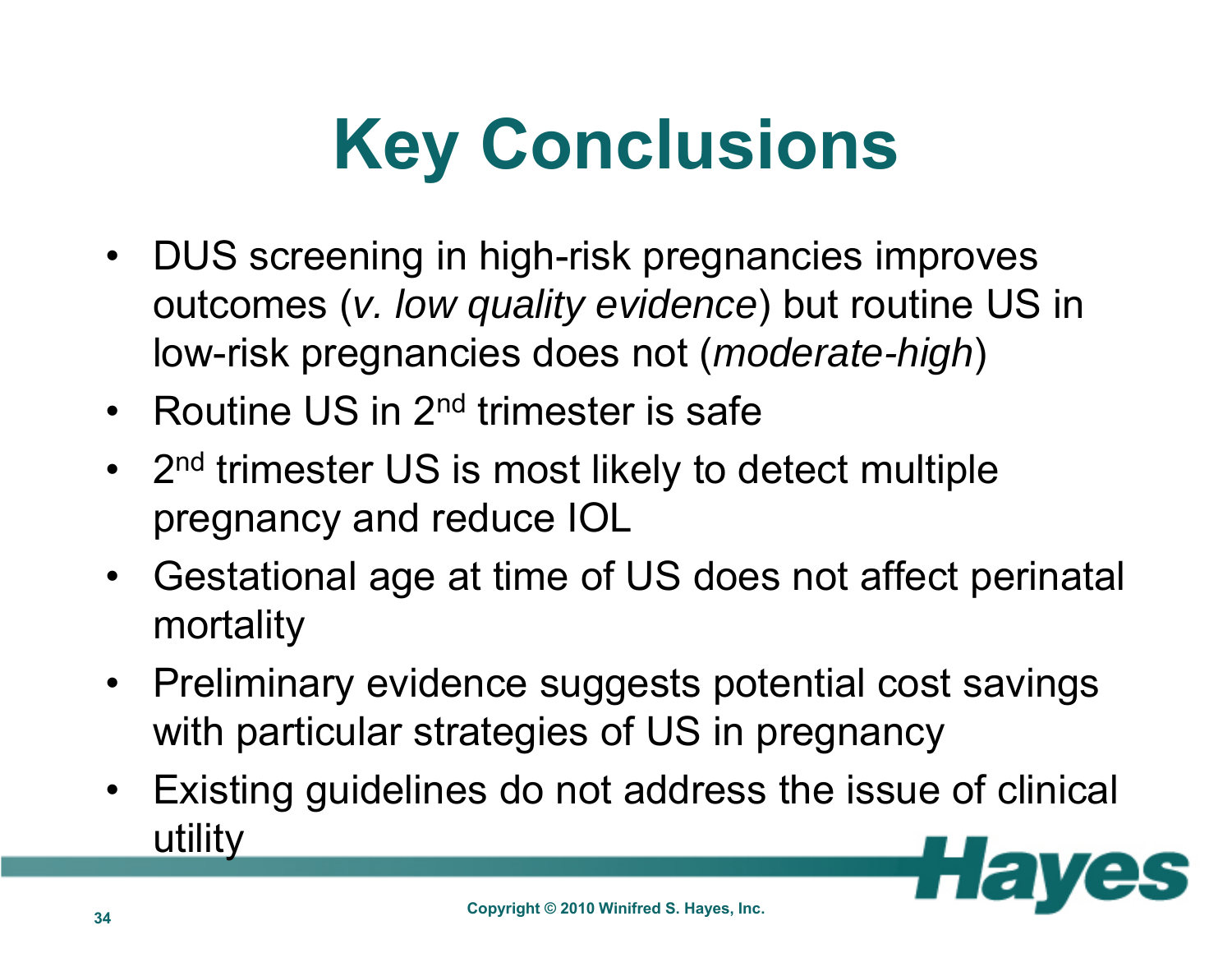## **Key Conclusions**

- DUS screening in high-risk pregnancies improves outcomes (*v. low quality evidence*) but routine US in low-risk pregnancies does not (*moderate-high*)
- Routine US in 2<sup>nd</sup> trimester is safe
- $\bullet$ 2<sup>nd</sup> trimester US is most likely to detect multiple pregnancy and reduce IOL
- Gestational age at time of US does not affect perinatal mortality
- Preliminary evidence suggests potential cost savings with particular strategies of US in pregnancy
- Existing guidelines do not address the issue of clinical utility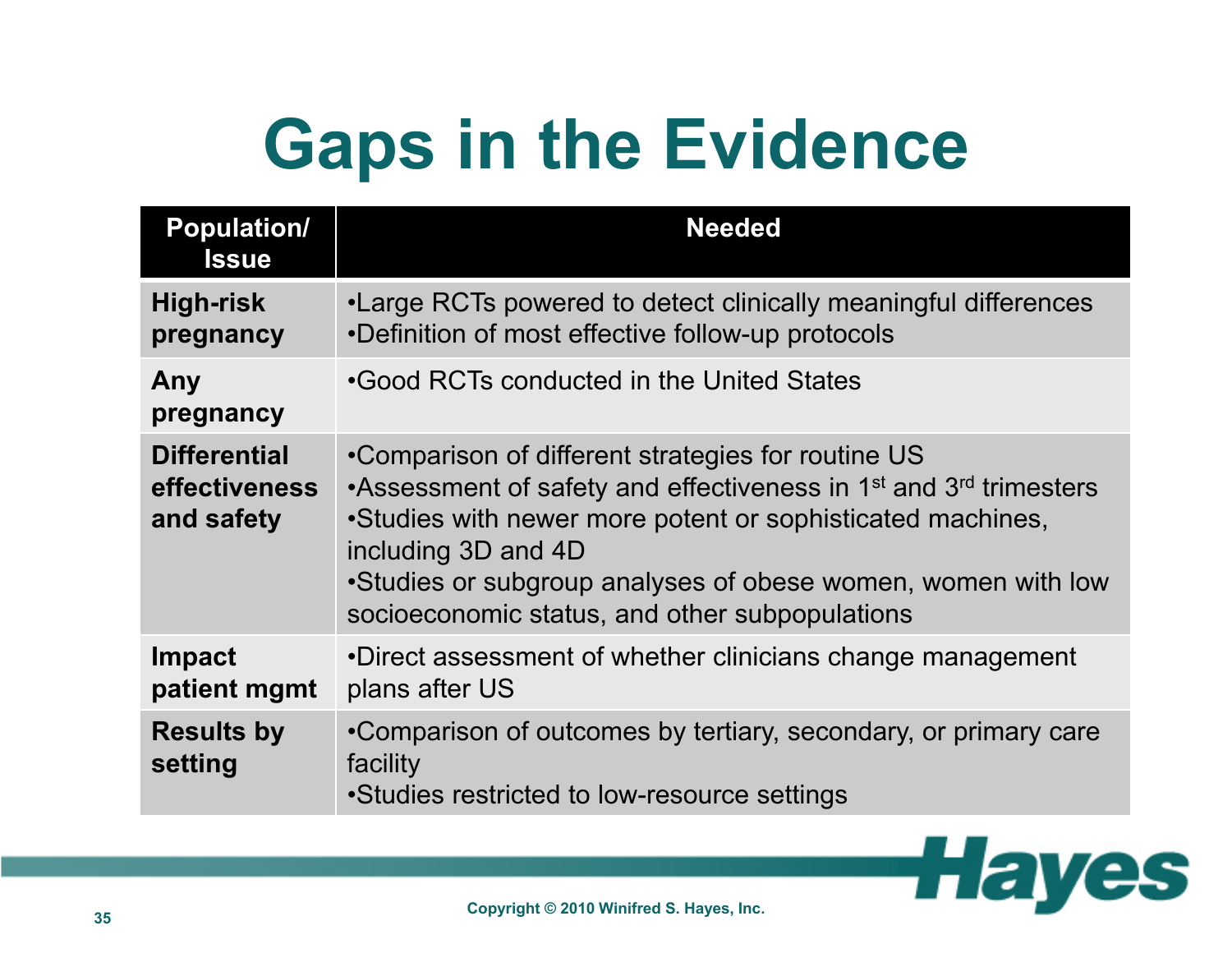## **Gaps in the Evidence**

| <b>Population/</b><br><b>Issue</b>                        | <b>Needed</b>                                                                                                                                                                                                                                                                                                                                          |
|-----------------------------------------------------------|--------------------------------------------------------------------------------------------------------------------------------------------------------------------------------------------------------------------------------------------------------------------------------------------------------------------------------------------------------|
| <b>High-risk</b><br>pregnancy                             | •Large RCTs powered to detect clinically meaningful differences<br>•Definition of most effective follow-up protocols                                                                                                                                                                                                                                   |
| Any<br>pregnancy                                          | •Good RCTs conducted in the United States                                                                                                                                                                                                                                                                                                              |
| <b>Differential</b><br><b>effectiveness</b><br>and safety | •Comparison of different strategies for routine US<br>•Assessment of safety and effectiveness in 1 <sup>st</sup> and 3 <sup>rd</sup> trimesters<br>•Studies with newer more potent or sophisticated machines,<br>including 3D and 4D<br>•Studies or subgroup analyses of obese women, women with low<br>socioeconomic status, and other subpopulations |
| <b>Impact</b><br>patient mgmt                             | •Direct assessment of whether clinicians change management<br>plans after US                                                                                                                                                                                                                                                                           |
| <b>Results by</b><br>setting                              | •Comparison of outcomes by tertiary, secondary, or primary care<br>facility<br>•Studies restricted to low-resource settings                                                                                                                                                                                                                            |